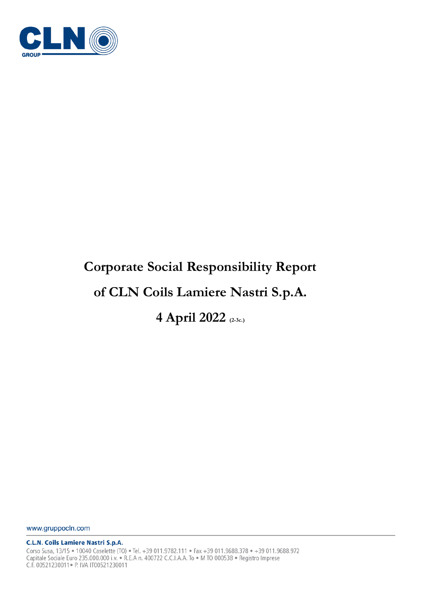

# **Corporate Social Responsibility Report**

## **of CLN Coils Lamiere Nastri S.p.A.**

**4 April 2022 (2-3c.)**

www.gruppocln.com

**C.L.N. Coils Lamiere Nastri S.p.A.** 

Corso Susa, 13/15 . 10040 Caselette (TO) . Tel. +39 011.9782.111 . Fax +39 011.9688.378 . +39 011.9688.972 Capitale Sociale Euro 235.000.000 i.v. • R.E.A n. 400722 C.C.I.A.A. To • M TO 000538 • Registro Imprese C.F. 00521230011 · P. IVA IT00521230011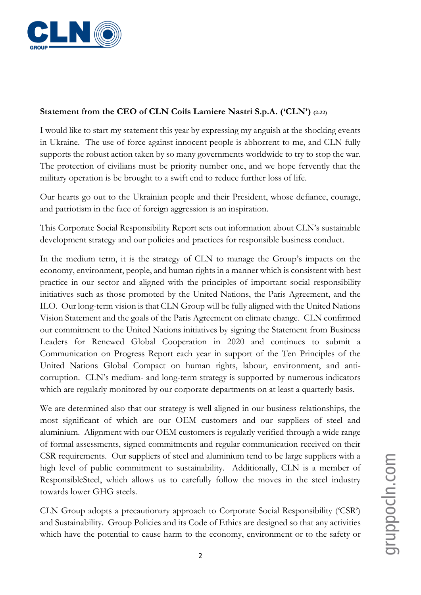

#### **Statement from the CEO of CLN Coils Lamiere Nastri S.p.A. ('CLN') (2-22)**

I would like to start my statement this year by expressing my anguish at the shocking events in Ukraine. The use of force against innocent people is abhorrent to me, and CLN fully supports the robust action taken by so many governments worldwide to try to stop the war. The protection of civilians must be priority number one, and we hope fervently that the military operation is be brought to a swift end to reduce further loss of life.

Our hearts go out to the Ukrainian people and their President, whose defiance, courage, and patriotism in the face of foreign aggression is an inspiration.

This Corporate Social Responsibility Report sets out information about CLN's sustainable development strategy and our policies and practices for responsible business conduct.

In the medium term, it is the strategy of CLN to manage the Group's impacts on the economy, environment, people, and human rights in a manner which is consistent with best practice in our sector and aligned with the principles of important social responsibility initiatives such as those promoted by the United Nations, the Paris Agreement, and the ILO. Our long-term vision is that CLN Group will be fully aligned with the United Nations Vision Statement and the goals of the Paris Agreement on climate change. CLN confirmed our commitment to the United Nations initiatives by signing the Statement from Business Leaders for Renewed Global Cooperation in 2020 and continues to submit a Communication on Progress Report each year in support of the Ten Principles of the United Nations Global Compact on human rights, labour, environment, and anticorruption. CLN's medium- and long-term strategy is supported by numerous indicators which are regularly monitored by our corporate departments on at least a quarterly basis.

We are determined also that our strategy is well aligned in our business relationships, the most significant of which are our OEM customers and our suppliers of steel and aluminium. Alignment with our OEM customers is regularly verified through a wide range of formal assessments, signed commitments and regular communication received on their CSR requirements. Our suppliers of steel and aluminium tend to be large suppliers with a high level of public commitment to sustainability. Additionally, CLN is a member of ResponsibleSteel, which allows us to carefully follow the moves in the steel industry towards lower GHG steels.

CLN Group adopts a precautionary approach to Corporate Social Responsibility ('CSR') and Sustainability. Group Policies and its Code of Ethics are designed so that any activities which have the potential to cause harm to the economy, environment or to the safety or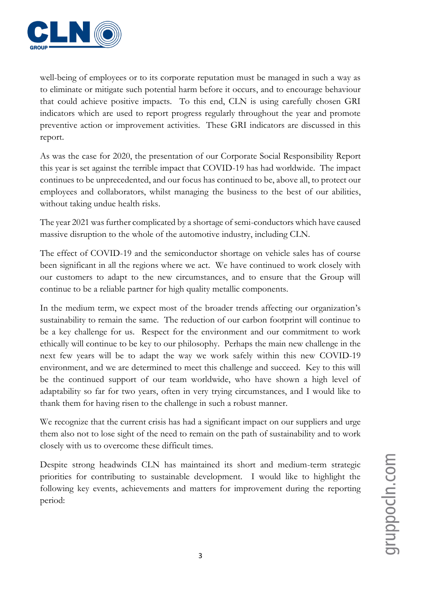

well-being of employees or to its corporate reputation must be managed in such a way as to eliminate or mitigate such potential harm before it occurs, and to encourage behaviour that could achieve positive impacts. To this end, CLN is using carefully chosen GRI indicators which are used to report progress regularly throughout the year and promote preventive action or improvement activities. These GRI indicators are discussed in this report.

As was the case for 2020, the presentation of our Corporate Social Responsibility Report this year is set against the terrible impact that COVID-19 has had worldwide. The impact continues to be unprecedented, and our focus has continued to be, above all, to protect our employees and collaborators, whilst managing the business to the best of our abilities, without taking undue health risks.

The year 2021 was further complicated by a shortage of semi-conductors which have caused massive disruption to the whole of the automotive industry, including CLN.

The effect of COVID-19 and the semiconductor shortage on vehicle sales has of course been significant in all the regions where we act. We have continued to work closely with our customers to adapt to the new circumstances, and to ensure that the Group will continue to be a reliable partner for high quality metallic components.

In the medium term, we expect most of the broader trends affecting our organization's sustainability to remain the same. The reduction of our carbon footprint will continue to be a key challenge for us. Respect for the environment and our commitment to work ethically will continue to be key to our philosophy. Perhaps the main new challenge in the next few years will be to adapt the way we work safely within this new COVID-19 environment, and we are determined to meet this challenge and succeed. Key to this will be the continued support of our team worldwide, who have shown a high level of adaptability so far for two years, often in very trying circumstances, and I would like to thank them for having risen to the challenge in such a robust manner.

We recognize that the current crisis has had a significant impact on our suppliers and urge them also not to lose sight of the need to remain on the path of sustainability and to work closely with us to overcome these difficult times.

Despite strong headwinds CLN has maintained its short and medium-term strategic priorities for contributing to sustainable development. I would like to highlight the following key events, achievements and matters for improvement during the reporting period: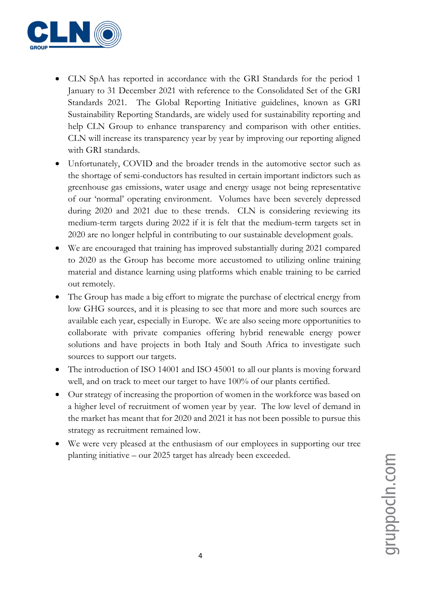

- CLN SpA has reported in accordance with the GRI Standards for the period 1 January to 31 December 2021 with reference to the Consolidated Set of the GRI Standards 2021. The Global Reporting Initiative guidelines, known as GRI Sustainability Reporting Standards, are widely used for sustainability reporting and help CLN Group to enhance transparency and comparison with other entities. CLN will increase its transparency year by year by improving our reporting aligned with GRI standards.
- Unfortunately, COVID and the broader trends in the automotive sector such as the shortage of semi-conductors has resulted in certain important indictors such as greenhouse gas emissions, water usage and energy usage not being representative of our 'normal' operating environment. Volumes have been severely depressed during 2020 and 2021 due to these trends. CLN is considering reviewing its medium-term targets during 2022 if it is felt that the medium-term targets set in 2020 are no longer helpful in contributing to our sustainable development goals.
- We are encouraged that training has improved substantially during 2021 compared to 2020 as the Group has become more accustomed to utilizing online training material and distance learning using platforms which enable training to be carried out remotely.
- The Group has made a big effort to migrate the purchase of electrical energy from low GHG sources, and it is pleasing to see that more and more such sources are available each year, especially in Europe. We are also seeing more opportunities to collaborate with private companies offering hybrid renewable energy power solutions and have projects in both Italy and South Africa to investigate such sources to support our targets.
- The introduction of ISO 14001 and ISO 45001 to all our plants is moving forward well, and on track to meet our target to have 100% of our plants certified.
- Our strategy of increasing the proportion of women in the workforce was based on a higher level of recruitment of women year by year. The low level of demand in the market has meant that for 2020 and 2021 it has not been possible to pursue this strategy as recruitment remained low.
- We were very pleased at the enthusiasm of our employees in supporting our tree planting initiative – our 2025 target has already been exceeded.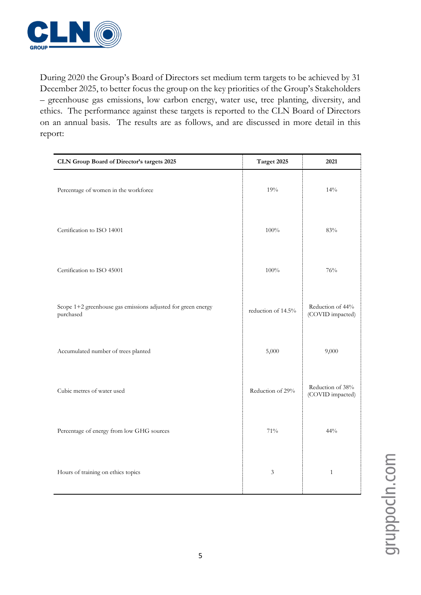

During 2020 the Group's Board of Directors set medium term targets to be achieved by 31 December 2025, to better focus the group on the key priorities of the Group's Stakeholders – greenhouse gas emissions, low carbon energy, water use, tree planting, diversity, and ethics. The performance against these targets is reported to the CLN Board of Directors on an annual basis. The results are as follows, and are discussed in more detail in this report:

| CLN Group Board of Director's targets 2025                                | Target 2025        | 2021                                 |
|---------------------------------------------------------------------------|--------------------|--------------------------------------|
| Percentage of women in the workforce                                      | 19%                | 14%                                  |
| Certification to ISO 14001                                                | 100%               | 83%                                  |
| Certification to ISO 45001                                                | 100%               | 76%                                  |
| Scope 1+2 greenhouse gas emissions adjusted for green energy<br>purchased | reduction of 14.5% | Reduction of 44%<br>(COVID impacted) |
| Accumulated number of trees planted                                       | 5,000              | 9,000                                |
| Cubic metres of water used                                                | Reduction of 29%   | Reduction of 38%<br>(COVID impacted) |
| Percentage of energy from low GHG sources                                 | 71%                | 44%                                  |
| Hours of training on ethics topics                                        | $\mathfrak{Z}$     | $\mathbf{1}$                         |

gruppocin.com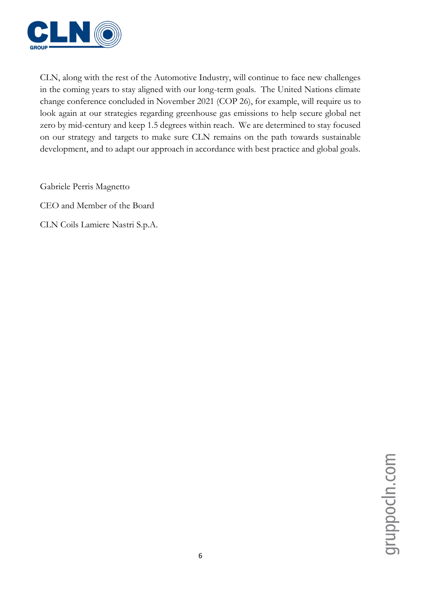

CLN, along with the rest of the Automotive Industry, will continue to face new challenges in the coming years to stay aligned with our long-term goals. The United Nations climate change conference concluded in November 2021 (COP 26), for example, will require us to look again at our strategies regarding greenhouse gas emissions to help secure global net zero by mid-century and keep 1.5 degrees within reach. We are determined to stay focused on our strategy and targets to make sure CLN remains on the path towards sustainable development, and to adapt our approach in accordance with best practice and global goals.

Gabriele Perris Magnetto

CEO and Member of the Board

CLN Coils Lamiere Nastri S.p.A.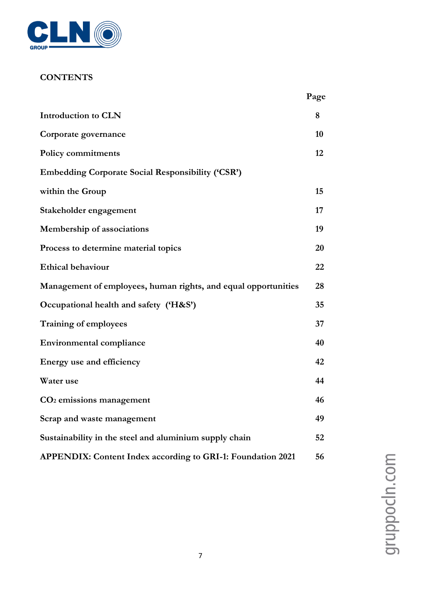

### **CONTENTS**

|                                                                    | Page |
|--------------------------------------------------------------------|------|
| <b>Introduction to CLN</b>                                         | 8    |
| Corporate governance                                               | 10   |
| <b>Policy commitments</b>                                          | 12   |
| <b>Embedding Corporate Social Responsibility ('CSR')</b>           |      |
| within the Group                                                   | 15   |
| Stakeholder engagement                                             | 17   |
| Membership of associations                                         | 19   |
| Process to determine material topics                               | 20   |
| <b>Ethical behaviour</b>                                           | 22   |
| Management of employees, human rights, and equal opportunities     | 28   |
| Occupational health and safety ('H&S')                             | 35   |
| Training of employees                                              | 37   |
| <b>Environmental compliance</b>                                    | 40   |
| Energy use and efficiency                                          | 42   |
| Water use                                                          | 44   |
| $CO2$ emissions management                                         | 46   |
| Scrap and waste management                                         | 49   |
| Sustainability in the steel and aluminium supply chain             | 52   |
| <b>APPENDIX: Content Index according to GRI-1: Foundation 2021</b> | 56   |

gruppocln.com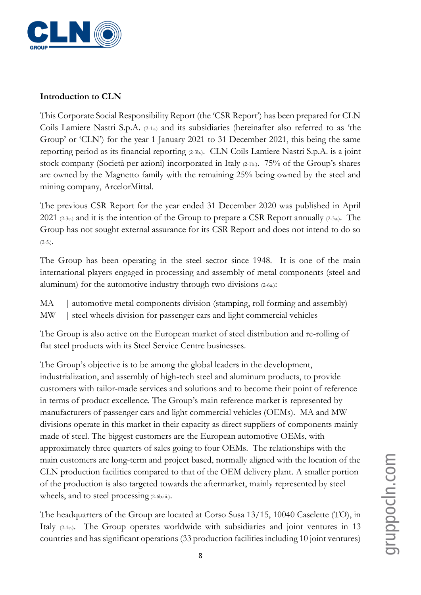

#### **Introduction to CLN**

This Corporate Social Responsibility Report (the 'CSR Report') has been prepared for CLN Coils Lamiere Nastri S.p.A. (2-1a.) and its subsidiaries (hereinafter also referred to as 'the Group' or 'CLN') for the year 1 January 2021 to 31 December 2021, this being the same reporting period as its financial reporting (2-3b.). CLN Coils Lamiere Nastri S.p.A. is a joint stock company (Società per azioni) incorporated in Italy (2-1b.). 75% of the Group's shares are owned by the Magnetto family with the remaining 25% being owned by the steel and mining company, ArcelorMittal.

The previous CSR Report for the year ended 31 December 2020 was published in April 2021 (2-3c.) and it is the intention of the Group to prepare a CSR Report annually (2-3a.). The Group has not sought external assurance for its CSR Report and does not intend to do so  $(2-5.)$ .

The Group has been operating in the steel sector since 1948. It is one of the main international players engaged in processing and assembly of metal components (steel and aluminum) for the automotive industry through two divisions (2-6a.):

- MA | automotive metal components division (stamping, roll forming and assembly)
- MW | steel wheels division for passenger cars and light commercial vehicles

The Group is also active on the European market of steel distribution and re-rolling of flat steel products with its Steel Service Centre businesses.

The Group's objective is to be among the global leaders in the development, industrialization, and assembly of high-tech steel and aluminum products, to provide customers with tailor-made services and solutions and to become their point of reference in terms of product excellence. The Group's main reference market is represented by manufacturers of passenger cars and light commercial vehicles (OEMs). MA and MW divisions operate in this market in their capacity as direct suppliers of components mainly made of steel. The biggest customers are the European automotive OEMs, with approximately three quarters of sales going to four OEMs. The relationships with the main customers are long-term and project based, normally aligned with the location of the CLN production facilities compared to that of the OEM delivery plant. A smaller portion of the production is also targeted towards the aftermarket, mainly represented by steel wheels, and to steel processing (2-6b.iii.).

The headquarters of the Group are located at Corso Susa 13/15, 10040 Caselette (TO), in Italy (2-1c.). The Group operates worldwide with subsidiaries and joint ventures in 13 countries and has significant operations (33 production facilities including 10 joint ventures)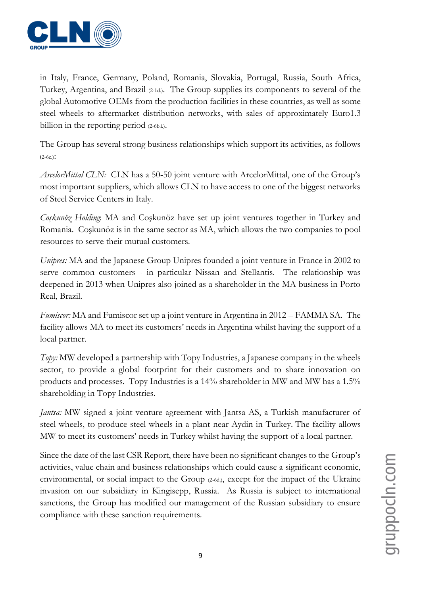

in Italy, France, Germany, Poland, Romania, Slovakia, Portugal, Russia, South Africa, Turkey, Argentina, and Brazil (2-1d.). The Group supplies its components to several of the global Automotive OEMs from the production facilities in these countries, as well as some steel wheels to aftermarket distribution networks, with sales of approximately Euro1.3 billion in the reporting period (2-6b.i.).

The Group has several strong business relationships which support its activities, as follows  $(2-6c.)$ :

*ArcelorMittal CLN:* CLN has a 50-50 joint venture with ArcelorMittal, one of the Group's most important suppliers, which allows CLN to have access to one of the biggest networks of Steel Service Centers in Italy.

*Coşkunöz Holding*: MA and Coşkunöz have set up joint ventures together in Turkey and Romania. Coşkunöz is in the same sector as MA, which allows the two companies to pool resources to serve their mutual customers.

*Unipres:* MA and the Japanese Group Unipres founded a joint venture in France in 2002 to serve common customers - in particular Nissan and Stellantis. The relationship was deepened in 2013 when Unipres also joined as a shareholder in the MA business in Porto Real, Brazil.

*Fumiscor:* MA and Fumiscor set up a joint venture in Argentina in 2012 – FAMMA SA. The facility allows MA to meet its customers' needs in Argentina whilst having the support of a local partner.

*Topy:* MW developed a partnership with Topy Industries, a Japanese company in the wheels sector, to provide a global footprint for their customers and to share innovation on products and processes. Topy Industries is a 14% shareholder in MW and MW has a 1.5% shareholding in Topy Industries.

*Jantsa*: MW signed a joint venture agreement with Jantsa AS, a Turkish manufacturer of steel wheels, to produce steel wheels in a plant near Aydin in Turkey. The facility allows MW to meet its customers' needs in Turkey whilst having the support of a local partner.

Since the date of the last CSR Report, there have been no significant changes to the Group's activities, value chain and business relationships which could cause a significant economic, environmental, or social impact to the Group (2-6d.), except for the impact of the Ukraine invasion on our subsidiary in Kingisepp, Russia. As Russia is subject to international sanctions, the Group has modified our management of the Russian subsidiary to ensure compliance with these sanction requirements.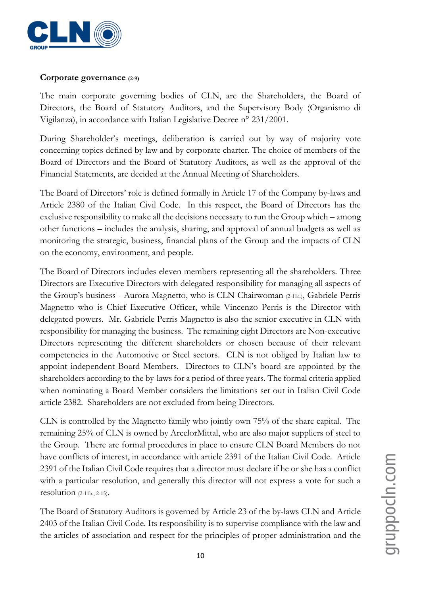

#### **Corporate governance (2-9)**

The main corporate governing bodies of CLN, are the Shareholders, the Board of Directors, the Board of Statutory Auditors, and the Supervisory Body (Organismo di Vigilanza), in accordance with Italian Legislative Decree n° 231/2001.

During Shareholder's meetings, deliberation is carried out by way of majority vote concerning topics defined by law and by corporate charter. The choice of members of the Board of Directors and the Board of Statutory Auditors, as well as the approval of the Financial Statements, are decided at the Annual Meeting of Shareholders.

The Board of Directors' role is defined formally in Article 17 of the Company by-laws and Article 2380 of the Italian Civil Code. In this respect, the Board of Directors has the exclusive responsibility to make all the decisions necessary to run the Group which – among other functions – includes the analysis, sharing, and approval of annual budgets as well as monitoring the strategic, business, financial plans of the Group and the impacts of CLN on the economy, environment, and people.

The Board of Directors includes eleven members representing all the shareholders. Three Directors are Executive Directors with delegated responsibility for managing all aspects of the Group's business - Aurora Magnetto, who is CLN Chairwoman (2-11a.), Gabriele Perris Magnetto who is Chief Executive Officer, while Vincenzo Perris is the Director with delegated powers. Mr. Gabriele Perris Magnetto is also the senior executive in CLN with responsibility for managing the business. The remaining eight Directors are Non-executive Directors representing the different shareholders or chosen because of their relevant competencies in the Automotive or Steel sectors. CLN is not obliged by Italian law to appoint independent Board Members. Directors to CLN's board are appointed by the shareholders according to the by-laws for a period of three years. The formal criteria applied when nominating a Board Member considers the limitations set out in Italian Civil Code article 2382. Shareholders are not excluded from being Directors.

CLN is controlled by the Magnetto family who jointly own 75% of the share capital. The remaining 25% of CLN is owned by ArcelorMittal, who are also major suppliers of steel to the Group. There are formal procedures in place to ensure CLN Board Members do not have conflicts of interest, in accordance with article 2391 of the Italian Civil Code. Article 2391 of the Italian Civil Code requires that a director must declare if he or she has a conflict with a particular resolution, and generally this director will not express a vote for such a resolution (2-11b., 2-15).

The Board of Statutory Auditors is governed by Article 23 of the by-laws CLN and Article 2403 of the Italian Civil Code. Its responsibility is to supervise compliance with the law and the articles of association and respect for the principles of proper administration and the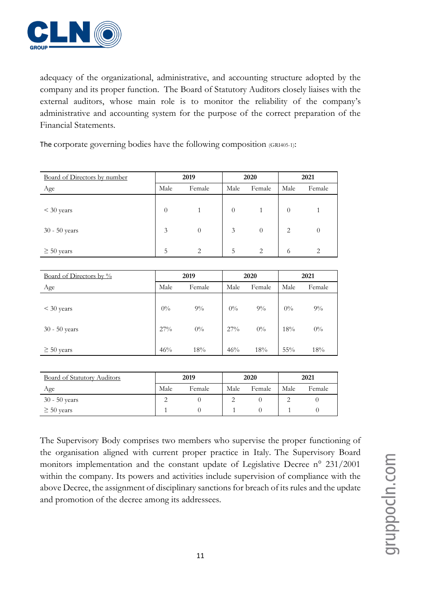

adequacy of the organizational, administrative, and accounting structure adopted by the company and its proper function. The Board of Statutory Auditors closely liaises with the external auditors, whose main role is to monitor the reliability of the company's administrative and accounting system for the purpose of the correct preparation of the Financial Statements.

The corporate governing bodies have the following composition (GRI405-1):

| Board of Directors by number |                | 2019     |                | 2020           | 2021           |        |  |
|------------------------------|----------------|----------|----------------|----------------|----------------|--------|--|
| Age                          | Male<br>Female |          | Male<br>Female |                | Male           | Female |  |
| $<$ 30 years                 | $\theta$       |          | $\theta$       |                | $\theta$       |        |  |
| 30 - 50 years                | 3              | $\theta$ | 3              | $\theta$       | $\overline{c}$ | 0      |  |
| $\geq 50$ years              | 5              | 2        | 5              | $\overline{2}$ | 6              | っ      |  |

| Board of Directors by %         |                | 2019           |                 | 2020           | 2021         |                |  |
|---------------------------------|----------------|----------------|-----------------|----------------|--------------|----------------|--|
| Age                             | Male<br>Female |                | Male            | Female         | Male         | Female         |  |
| $<$ 30 years<br>$30 - 50$ years | $0\%$<br>27%   | $9\%$<br>$0\%$ | $0\%$<br>$27\%$ | $9\%$<br>$0\%$ | $0\%$<br>18% | $9\%$<br>$0\%$ |  |
| $\geq 50$ years                 | 46%            | 18%            | 46%             | 18%            | $55\%$       | 18%            |  |

| Board of Statutory Auditors |      | 2019   |      | 2020   | 2021 |        |  |
|-----------------------------|------|--------|------|--------|------|--------|--|
| Age                         | Male | Female | Male | Female | Male | Female |  |
| $30 - 50$ years             |      |        |      |        |      |        |  |
| $\geq 50$ years             |      |        |      |        |      |        |  |

The Supervisory Body comprises two members who supervise the proper functioning of the organisation aligned with current proper practice in Italy. The Supervisory Board monitors implementation and the constant update of Legislative Decree n° 231/2001 within the company. Its powers and activities include supervision of compliance with the above Decree, the assignment of disciplinary sanctions for breach of its rules and the update and promotion of the decree among its addressees.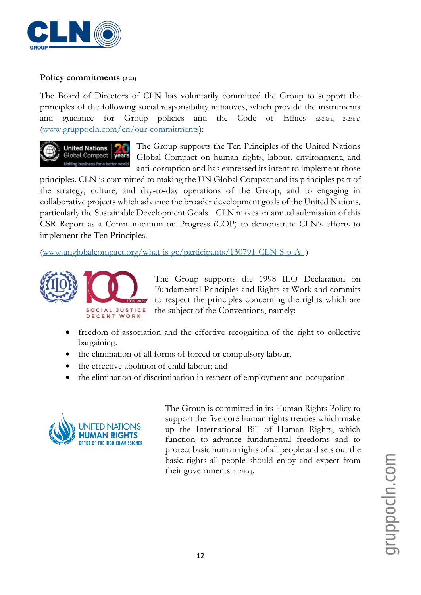

#### **Policy commitments (2-23)**

The Board of Directors of CLN has voluntarily committed the Group to support the principles of the following social responsibility initiatives, which provide the instruments and guidance for Group policies and the Code of Ethics (2-23a.i., 2-23b.i.) (www.gruppocln.com/en/our-commitments):



The Group supports the Ten Principles of the United Nations Global Compact on human rights, labour, environment, and anti-corruption and has expressed its intent to implement those

principles. CLN is committed to making the UN Global Compact and its principles part of the strategy, culture, and day-to-day operations of the Group, and to engaging in collaborative projects which advance the broader development goals of the United Nations, particularly the Sustainable Development Goals. CLN makes an annual submission of this CSR Report as a Communication on Progress (COP) to demonstrate CLN's efforts to implement the Ten Principles.

[\(www.unglobalcompact.org/what-is-gc/participants/130791-CLN-S-p-A-](http://www.unglobalcompact.org/what-is-gc/participants/130791-CLN-S-p-A-) )



The Group supports the 1998 ILO Declaration on Fundamental Principles and Rights at Work and commits to respect the principles concerning the rights which are the subject of the Conventions, namely:

- freedom of association and the effective recognition of the right to collective bargaining.
- the elimination of all forms of forced or compulsory labour.
- the effective abolition of child labour; and
- the elimination of discrimination in respect of employment and occupation.



The Group is committed in its Human Rights Policy to support the five core human rights treaties which make up the International Bill of Human Rights, which function to advance fundamental freedoms and to protect basic human rights of all people and sets out the basic rights all people should enjoy and expect from their governments (2-23b.i.).

gruppocin.com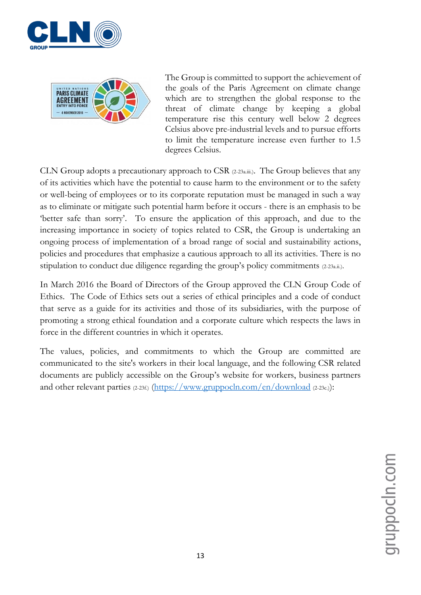



The Group is committed to support the achievement of the goals of the Paris Agreement on climate change which are to strengthen the global response to the threat of climate change by keeping a global temperature rise this century well below 2 degrees Celsius above pre-industrial levels and to pursue efforts to limit the temperature increase even further to 1.5 degrees Celsius.

CLN Group adopts a precautionary approach to CSR (2-23a.iii.). The Group believes that any of its activities which have the potential to cause harm to the environment or to the safety or well-being of employees or to its corporate reputation must be managed in such a way as to eliminate or mitigate such potential harm before it occurs - there is an emphasis to be 'better safe than sorry'. To ensure the application of this approach, and due to the increasing importance in society of topics related to CSR, the Group is undertaking an ongoing process of implementation of a broad range of social and sustainability actions, policies and procedures that emphasize a cautious approach to all its activities. There is no stipulation to conduct due diligence regarding the group's policy commitments (2-23a.ii.).

In March 2016 the Board of Directors of the Group approved the CLN Group Code of Ethics. The Code of Ethics sets out a series of ethical principles and a code of conduct that serve as a guide for its activities and those of its subsidiaries, with the purpose of promoting a strong ethical foundation and a corporate culture which respects the laws in force in the different countries in which it operates.

The values, policies, and commitments to which the Group are committed are communicated to the site's workers in their local language, and the following CSR related documents are publicly accessible on the Group's website for workers, business partners and other relevant parties (2-23f.) [\(https://www.gruppocln.com/en/download](https://www.gruppocln.com/en/download) (2-23c.)):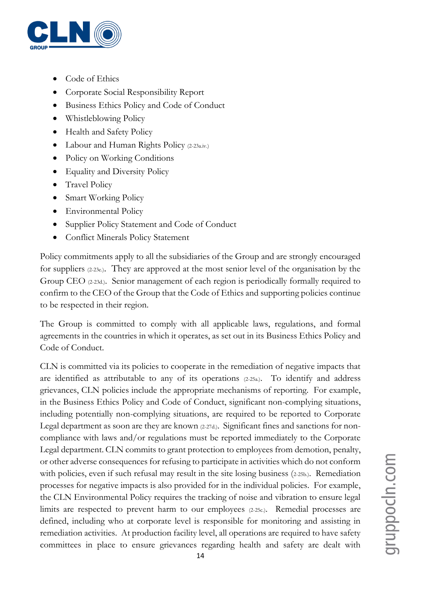

- Code of Ethics
- Corporate Social Responsibility Report
- Business Ethics Policy and Code of Conduct
- Whistleblowing Policy
- Health and Safety Policy
- Labour and Human Rights Policy (2-23a.iv.)
- Policy on Working Conditions
- Equality and Diversity Policy
- Travel Policy
- Smart Working Policy
- Environmental Policy
- Supplier Policy Statement and Code of Conduct
- Conflict Minerals Policy Statement

Policy commitments apply to all the subsidiaries of the Group and are strongly encouraged for suppliers (2-23e.). They are approved at the most senior level of the organisation by the Group CEO (2-23d.). Senior management of each region is periodically formally required to confirm to the CEO of the Group that the Code of Ethics and supporting policies continue to be respected in their region.

The Group is committed to comply with all applicable laws, regulations, and formal agreements in the countries in which it operates, as set out in its Business Ethics Policy and Code of Conduct.

CLN is committed via its policies to cooperate in the remediation of negative impacts that are identified as attributable to any of its operations (2-25a.). To identify and address grievances, CLN policies include the appropriate mechanisms of reporting. For example, in the Business Ethics Policy and Code of Conduct, significant non-complying situations, including potentially non-complying situations, are required to be reported to Corporate Legal department as soon are they are known (2-27d.). Significant fines and sanctions for noncompliance with laws and/or regulations must be reported immediately to the Corporate Legal department. CLN commits to grant protection to employees from demotion, penalty, or other adverse consequences for refusing to participate in activities which do not conform with policies, even if such refusal may result in the site losing business (2-25b.). Remediation processes for negative impacts is also provided for in the individual policies. For example, the CLN Environmental Policy requires the tracking of noise and vibration to ensure legal limits are respected to prevent harm to our employees (2-25c.). Remedial processes are defined, including who at corporate level is responsible for monitoring and assisting in remediation activities. At production facility level, all operations are required to have safety committees in place to ensure grievances regarding health and safety are dealt with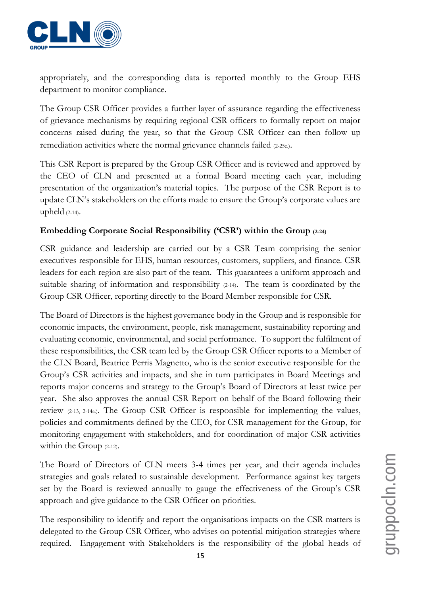

appropriately, and the corresponding data is reported monthly to the Group EHS department to monitor compliance.

The Group CSR Officer provides a further layer of assurance regarding the effectiveness of grievance mechanisms by requiring regional CSR officers to formally report on major concerns raised during the year, so that the Group CSR Officer can then follow up remediation activities where the normal grievance channels failed (2-25e.).

This CSR Report is prepared by the Group CSR Officer and is reviewed and approved by the CEO of CLN and presented at a formal Board meeting each year, including presentation of the organization's material topics. The purpose of the CSR Report is to update CLN's stakeholders on the efforts made to ensure the Group's corporate values are upheld (2-14).

#### **Embedding Corporate Social Responsibility ('CSR') within the Group (2-24)**

CSR guidance and leadership are carried out by a CSR Team comprising the senior executives responsible for EHS, human resources, customers, suppliers, and finance. CSR leaders for each region are also part of the team. This guarantees a uniform approach and suitable sharing of information and responsibility (2-14). The team is coordinated by the Group CSR Officer, reporting directly to the Board Member responsible for CSR.

The Board of Directors is the highest governance body in the Group and is responsible for economic impacts, the environment, people, risk management, sustainability reporting and evaluating economic, environmental, and social performance. To support the fulfilment of these responsibilities, the CSR team led by the Group CSR Officer reports to a Member of the CLN Board, Beatrice Perris Magnetto, who is the senior executive responsible for the Group's CSR activities and impacts, and she in turn participates in Board Meetings and reports major concerns and strategy to the Group's Board of Directors at least twice per year. She also approves the annual CSR Report on behalf of the Board following their review (2-13, 2-14a.). The Group CSR Officer is responsible for implementing the values, policies and commitments defined by the CEO, for CSR management for the Group, for monitoring engagement with stakeholders, and for coordination of major CSR activities within the Group (2-12).

The Board of Directors of CLN meets 3-4 times per year, and their agenda includes strategies and goals related to sustainable development. Performance against key targets set by the Board is reviewed annually to gauge the effectiveness of the Group's CSR approach and give guidance to the CSR Officer on priorities.

The responsibility to identify and report the organisations impacts on the CSR matters is delegated to the Group CSR Officer, who advises on potential mitigation strategies where required. Engagement with Stakeholders is the responsibility of the global heads of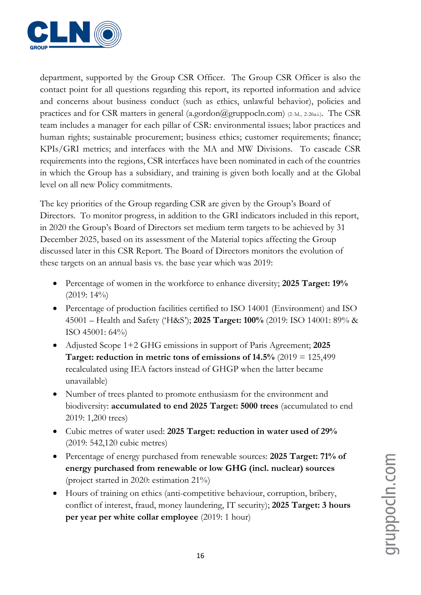

department, supported by the Group CSR Officer. The Group CSR Officer is also the contact point for all questions regarding this report, its reported information and advice and concerns about business conduct (such as ethics, unlawful behavior), policies and practices and for CSR matters in general (a.gordon@gruppocln.com) (2-3d., 2-26a.i.). The CSR team includes a manager for each pillar of CSR: environmental issues; labor practices and human rights; sustainable procurement; business ethics; customer requirements; finance; KPIs/GRI metrics; and interfaces with the MA and MW Divisions. To cascade CSR requirements into the regions, CSR interfaces have been nominated in each of the countries in which the Group has a subsidiary, and training is given both locally and at the Global level on all new Policy commitments.

The key priorities of the Group regarding CSR are given by the Group's Board of Directors. To monitor progress, in addition to the GRI indicators included in this report, in 2020 the Group's Board of Directors set medium term targets to be achieved by 31 December 2025, based on its assessment of the Material topics affecting the Group discussed later in this CSR Report. The Board of Directors monitors the evolution of these targets on an annual basis vs. the base year which was 2019:

- Percentage of women in the workforce to enhance diversity; **2025 Target: 19%**  $(2019:14\%)$
- Percentage of production facilities certified to ISO 14001 (Environment) and ISO 45001 – Health and Safety ('H&S'); **2025 Target: 100%** (2019: ISO 14001: 89% & ISO 45001: 64%)
- Adjusted Scope 1+2 GHG emissions in support of Paris Agreement; **2025 Target: reduction in metric tons of emissions of 14.5%** (2019 = 125,499 recalculated using IEA factors instead of GHGP when the latter became unavailable)
- Number of trees planted to promote enthusiasm for the environment and biodiversity: **accumulated to end 2025 Target: 5000 trees** (accumulated to end 2019: 1,200 trees)
- Cubic metres of water used: **2025 Target: reduction in water used of 29%** (2019: 542,120 cubic metres)
- Percentage of energy purchased from renewable sources: **2025 Target: 71% of energy purchased from renewable or low GHG (incl. nuclear) sources** (project started in 2020: estimation 21%)
- Hours of training on ethics (anti-competitive behaviour, corruption, bribery, conflict of interest, fraud, money laundering, IT security); **2025 Target: 3 hours per year per white collar employee** (2019: 1 hour)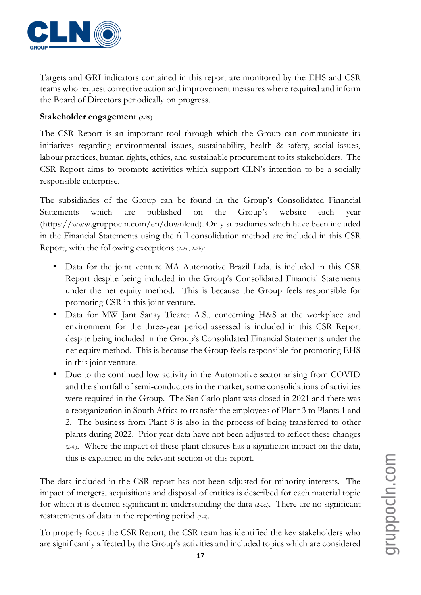

Targets and GRI indicators contained in this report are monitored by the EHS and CSR teams who request corrective action and improvement measures where required and inform the Board of Directors periodically on progress.

#### **Stakeholder engagement (2-29)**

The CSR Report is an important tool through which the Group can communicate its initiatives regarding environmental issues, sustainability, health & safety, social issues, labour practices, human rights, ethics, and sustainable procurement to its stakeholders. The CSR Report aims to promote activities which support CLN's intention to be a socially responsible enterprise.

The subsidiaries of the Group can be found in the Group's Consolidated Financial Statements which are published on the Group's website each year (https://www.gruppocln.com/en/download). Only subsidiaries which have been included in the Financial Statements using the full consolidation method are included in this CSR Report, with the following exceptions (2-2a., 2-2b):

- Data for the joint venture MA Automotive Brazil Ltda. is included in this CSR Report despite being included in the Group's Consolidated Financial Statements under the net equity method. This is because the Group feels responsible for promoting CSR in this joint venture.
- **•** Data for MW Jant Sanay Ticaret A.S., concerning H&S at the workplace and environment for the three-year period assessed is included in this CSR Report despite being included in the Group's Consolidated Financial Statements under the net equity method. This is because the Group feels responsible for promoting EHS in this joint venture.
- Due to the continued low activity in the Automotive sector arising from COVID and the shortfall of semi-conductors in the market, some consolidations of activities were required in the Group. The San Carlo plant was closed in 2021 and there was a reorganization in South Africa to transfer the employees of Plant 3 to Plants 1 and 2. The business from Plant 8 is also in the process of being transferred to other plants during 2022. Prior year data have not been adjusted to reflect these changes (2-4.). Where the impact of these plant closures has a significant impact on the data, this is explained in the relevant section of this report.

The data included in the CSR report has not been adjusted for minority interests. The impact of mergers, acquisitions and disposal of entities is described for each material topic for which it is deemed significant in understanding the data (2-2c.). There are no significant restatements of data in the reporting period (2-4).

To properly focus the CSR Report, the CSR team has identified the key stakeholders who are significantly affected by the Group's activities and included topics which are considered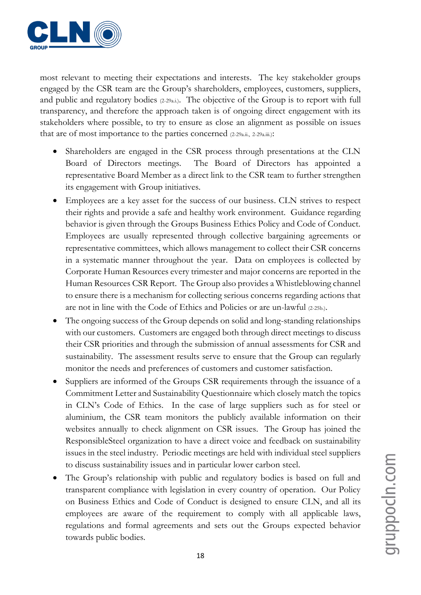

most relevant to meeting their expectations and interests. The key stakeholder groups engaged by the CSR team are the Group's shareholders, employees, customers, suppliers, and public and regulatory bodies (2-29a.i.). The objective of the Group is to report with full transparency, and therefore the approach taken is of ongoing direct engagement with its stakeholders where possible, to try to ensure as close an alignment as possible on issues that are of most importance to the parties concerned (2-29a.ii., 2-29a.iii.):

- Shareholders are engaged in the CSR process through presentations at the CLN Board of Directors meetings. The Board of Directors has appointed a representative Board Member as a direct link to the CSR team to further strengthen its engagement with Group initiatives.
- Employees are a key asset for the success of our business. CLN strives to respect their rights and provide a safe and healthy work environment. Guidance regarding behavior is given through the Groups Business Ethics Policy and Code of Conduct. Employees are usually represented through collective bargaining agreements or representative committees, which allows management to collect their CSR concerns in a systematic manner throughout the year. Data on employees is collected by Corporate Human Resources every trimester and major concerns are reported in the Human Resources CSR Report. The Group also provides a Whistleblowing channel to ensure there is a mechanism for collecting serious concerns regarding actions that are not in line with the Code of Ethics and Policies or are un-lawful (2-25b.).
- The ongoing success of the Group depends on solid and long-standing relationships with our customers. Customers are engaged both through direct meetings to discuss their CSR priorities and through the submission of annual assessments for CSR and sustainability. The assessment results serve to ensure that the Group can regularly monitor the needs and preferences of customers and customer satisfaction.
- Suppliers are informed of the Groups CSR requirements through the issuance of a Commitment Letter and Sustainability Questionnaire which closely match the topics in CLN's Code of Ethics. In the case of large suppliers such as for steel or aluminium, the CSR team monitors the publicly available information on their websites annually to check alignment on CSR issues. The Group has joined the ResponsibleSteel organization to have a direct voice and feedback on sustainability issues in the steel industry. Periodic meetings are held with individual steel suppliers to discuss sustainability issues and in particular lower carbon steel.
- The Group's relationship with public and regulatory bodies is based on full and transparent compliance with legislation in every country of operation. Our Policy on Business Ethics and Code of Conduct is designed to ensure CLN, and all its employees are aware of the requirement to comply with all applicable laws, regulations and formal agreements and sets out the Groups expected behavior towards public bodies.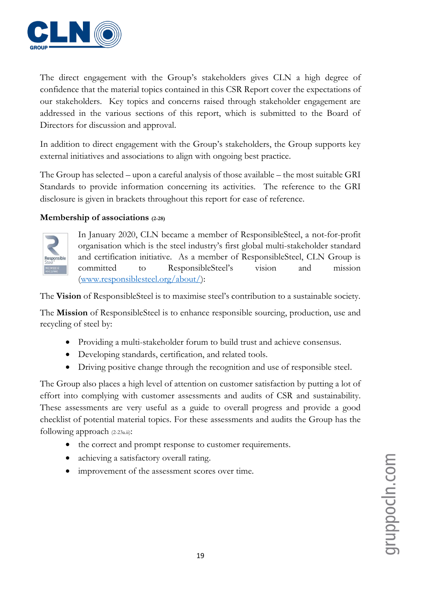

The direct engagement with the Group's stakeholders gives CLN a high degree of confidence that the material topics contained in this CSR Report cover the expectations of our stakeholders. Key topics and concerns raised through stakeholder engagement are addressed in the various sections of this report, which is submitted to the Board of Directors for discussion and approval.

In addition to direct engagement with the Group's stakeholders, the Group supports key external initiatives and associations to align with ongoing best practice.

The Group has selected – upon a careful analysis of those available – the most suitable GRI Standards to provide information concerning its activities. The reference to the GRI disclosure is given in brackets throughout this report for ease of reference.

#### **Membership of associations (2-28)**



In January 2020, CLN became a member of ResponsibleSteel, a not-for-profit organisation which is the steel industry's first global multi-stakeholder standard and certification initiative. As a member of ResponsibleSteel, CLN Group is committed to ResponsibleSteel's vision and mission [\(www.responsiblesteel.org/about/\)](http://www.responsiblesteel.org/about/):

The **Vision** of ResponsibleSteel is to maximise steel's contribution to a sustainable society.

The **Mission** of ResponsibleSteel is to enhance responsible sourcing, production, use and recycling of steel by:

- Providing a multi-stakeholder forum to build trust and achieve consensus.
- Developing standards, certification, and related tools.
- Driving positive change through the recognition and use of responsible steel.

The Group also places a high level of attention on customer satisfaction by putting a lot of effort into complying with customer assessments and audits of CSR and sustainability. These assessments are very useful as a guide to overall progress and provide a good checklist of potential material topics. For these assessments and audits the Group has the following approach (2-23a.ii):

- the correct and prompt response to customer requirements.
- achieving a satisfactory overall rating.
- improvement of the assessment scores over time.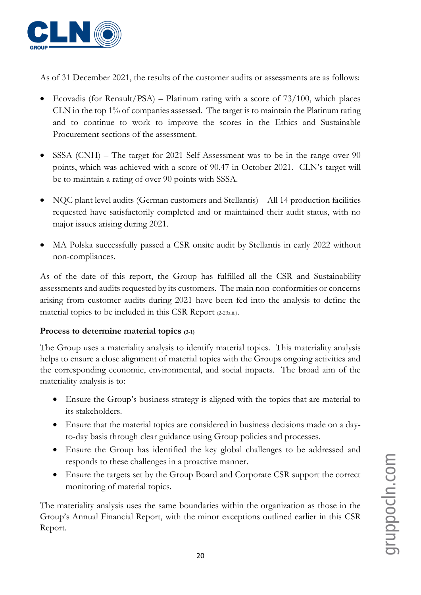

As of 31 December 2021, the results of the customer audits or assessments are as follows:

- Ecovadis (for Renault/PSA) Platinum rating with a score of  $73/100$ , which places CLN in the top 1% of companies assessed. The target is to maintain the Platinum rating and to continue to work to improve the scores in the Ethics and Sustainable Procurement sections of the assessment.
- SSSA (CNH) The target for 2021 Self-Assessment was to be in the range over 90 points, which was achieved with a score of 90.47 in October 2021. CLN's target will be to maintain a rating of over 90 points with SSSA.
- NQC plant level audits (German customers and Stellantis) All 14 production facilities requested have satisfactorily completed and or maintained their audit status, with no major issues arising during 2021.
- MA Polska successfully passed a CSR onsite audit by Stellantis in early 2022 without non-compliances.

As of the date of this report, the Group has fulfilled all the CSR and Sustainability assessments and audits requested by its customers. The main non-conformities or concerns arising from customer audits during 2021 have been fed into the analysis to define the material topics to be included in this CSR Report (2-23a.ii.).

#### **Process to determine material topics (3-1)**

The Group uses a materiality analysis to identify material topics. This materiality analysis helps to ensure a close alignment of material topics with the Groups ongoing activities and the corresponding economic, environmental, and social impacts. The broad aim of the materiality analysis is to:

- Ensure the Group's business strategy is aligned with the topics that are material to its stakeholders.
- Ensure that the material topics are considered in business decisions made on a dayto-day basis through clear guidance using Group policies and processes.
- Ensure the Group has identified the key global challenges to be addressed and responds to these challenges in a proactive manner.
- Ensure the targets set by the Group Board and Corporate CSR support the correct monitoring of material topics.

The materiality analysis uses the same boundaries within the organization as those in the Group's Annual Financial Report, with the minor exceptions outlined earlier in this CSR Report.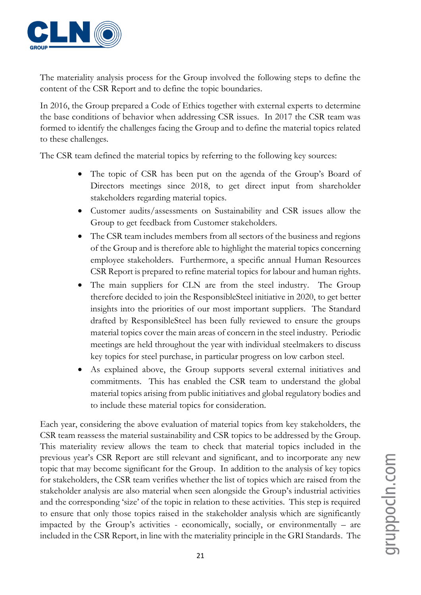

The materiality analysis process for the Group involved the following steps to define the content of the CSR Report and to define the topic boundaries.

In 2016, the Group prepared a Code of Ethics together with external experts to determine the base conditions of behavior when addressing CSR issues. In 2017 the CSR team was formed to identify the challenges facing the Group and to define the material topics related to these challenges.

The CSR team defined the material topics by referring to the following key sources:

- The topic of CSR has been put on the agenda of the Group's Board of Directors meetings since 2018, to get direct input from shareholder stakeholders regarding material topics.
- Customer audits/assessments on Sustainability and CSR issues allow the Group to get feedback from Customer stakeholders.
- The CSR team includes members from all sectors of the business and regions of the Group and is therefore able to highlight the material topics concerning employee stakeholders. Furthermore, a specific annual Human Resources CSR Report is prepared to refine material topics for labour and human rights.
- The main suppliers for CLN are from the steel industry. The Group therefore decided to join the ResponsibleSteel initiative in 2020, to get better insights into the priorities of our most important suppliers. The Standard drafted by ResponsibleSteel has been fully reviewed to ensure the groups material topics cover the main areas of concern in the steel industry. Periodic meetings are held throughout the year with individual steelmakers to discuss key topics for steel purchase, in particular progress on low carbon steel.
- As explained above, the Group supports several external initiatives and commitments. This has enabled the CSR team to understand the global material topics arising from public initiatives and global regulatory bodies and to include these material topics for consideration.

Each year, considering the above evaluation of material topics from key stakeholders, the CSR team reassess the material sustainability and CSR topics to be addressed by the Group. This materiality review allows the team to check that material topics included in the previous year's CSR Report are still relevant and significant, and to incorporate any new topic that may become significant for the Group. In addition to the analysis of key topics for stakeholders, the CSR team verifies whether the list of topics which are raised from the stakeholder analysis are also material when seen alongside the Group's industrial activities and the corresponding 'size' of the topic in relation to these activities. This step is required to ensure that only those topics raised in the stakeholder analysis which are significantly impacted by the Group's activities - economically, socially, or environmentally – are included in the CSR Report, in line with the materiality principle in the GRI Standards. The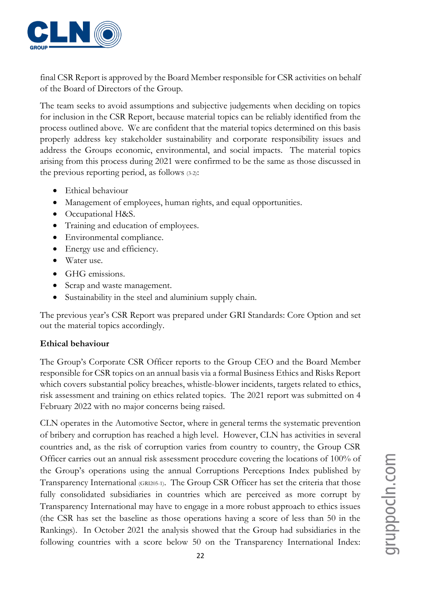

final CSR Report is approved by the Board Member responsible for CSR activities on behalf of the Board of Directors of the Group.

The team seeks to avoid assumptions and subjective judgements when deciding on topics for inclusion in the CSR Report, because material topics can be reliably identified from the process outlined above. We are confident that the material topics determined on this basis properly address key stakeholder sustainability and corporate responsibility issues and address the Groups economic, environmental, and social impacts. The material topics arising from this process during 2021 were confirmed to be the same as those discussed in the previous reporting period, as follows (3-2):

- Ethical behaviour
- Management of employees, human rights, and equal opportunities.
- Occupational H&S.
- Training and education of employees.
- Environmental compliance.
- Energy use and efficiency.
- Water use.
- GHG emissions.
- Scrap and waste management.
- Sustainability in the steel and aluminium supply chain.

The previous year's CSR Report was prepared under GRI Standards: Core Option and set out the material topics accordingly.

#### **Ethical behaviour**

The Group's Corporate CSR Officer reports to the Group CEO and the Board Member responsible for CSR topics on an annual basis via a formal Business Ethics and Risks Report which covers substantial policy breaches, whistle-blower incidents, targets related to ethics, risk assessment and training on ethics related topics. The 2021 report was submitted on 4 February 2022 with no major concerns being raised.

CLN operates in the Automotive Sector, where in general terms the systematic prevention of bribery and corruption has reached a high level. However, CLN has activities in several countries and, as the risk of corruption varies from country to country, the Group CSR Officer carries out an annual risk assessment procedure covering the locations of 100% of the Group's operations using the annual Corruptions Perceptions Index published by Transparency International (GRI205-1). The Group CSR Officer has set the criteria that those fully consolidated subsidiaries in countries which are perceived as more corrupt by Transparency International may have to engage in a more robust approach to ethics issues (the CSR has set the baseline as those operations having a score of less than 50 in the Rankings). In October 2021 the analysis showed that the Group had subsidiaries in the following countries with a score below 50 on the Transparency International Index: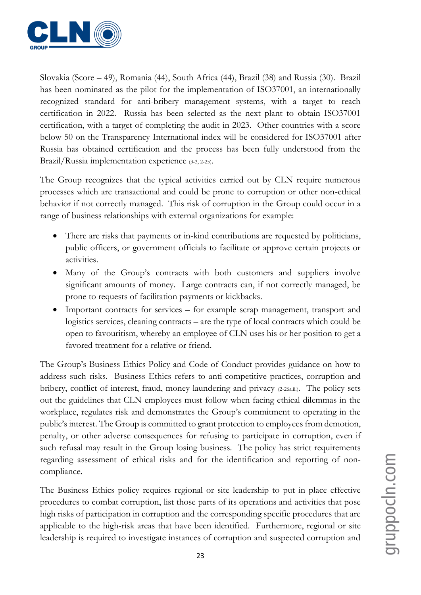

Slovakia (Score – 49), Romania (44), South Africa (44), Brazil (38) and Russia (30). Brazil has been nominated as the pilot for the implementation of ISO37001, an internationally recognized standard for anti-bribery management systems, with a target to reach certification in 2022. Russia has been selected as the next plant to obtain ISO37001 certification, with a target of completing the audit in 2023. Other countries with a score below 50 on the Transparency International index will be considered for ISO37001 after Russia has obtained certification and the process has been fully understood from the Brazil/Russia implementation experience (3-3, 2-25).

The Group recognizes that the typical activities carried out by CLN require numerous processes which are transactional and could be prone to corruption or other non-ethical behavior if not correctly managed. This risk of corruption in the Group could occur in a range of business relationships with external organizations for example:

- There are risks that payments or in-kind contributions are requested by politicians, public officers, or government officials to facilitate or approve certain projects or activities.
- Many of the Group's contracts with both customers and suppliers involve significant amounts of money. Large contracts can, if not correctly managed, be prone to requests of facilitation payments or kickbacks.
- Important contracts for services for example scrap management, transport and logistics services, cleaning contracts – are the type of local contracts which could be open to favouritism, whereby an employee of CLN uses his or her position to get a favored treatment for a relative or friend.

The Group's Business Ethics Policy and Code of Conduct provides guidance on how to address such risks. Business Ethics refers to anti-competitive practices, corruption and bribery, conflict of interest, fraud, money laundering and privacy (2-26a.ii.). The policy sets out the guidelines that CLN employees must follow when facing ethical dilemmas in the workplace, regulates risk and demonstrates the Group's commitment to operating in the public's interest. The Group is committed to grant protection to employees from demotion, penalty, or other adverse consequences for refusing to participate in corruption, even if such refusal may result in the Group losing business. The policy has strict requirements regarding assessment of ethical risks and for the identification and reporting of noncompliance.

The Business Ethics policy requires regional or site leadership to put in place effective procedures to combat corruption, list those parts of its operations and activities that pose high risks of participation in corruption and the corresponding specific procedures that are applicable to the high-risk areas that have been identified. Furthermore, regional or site leadership is required to investigate instances of corruption and suspected corruption and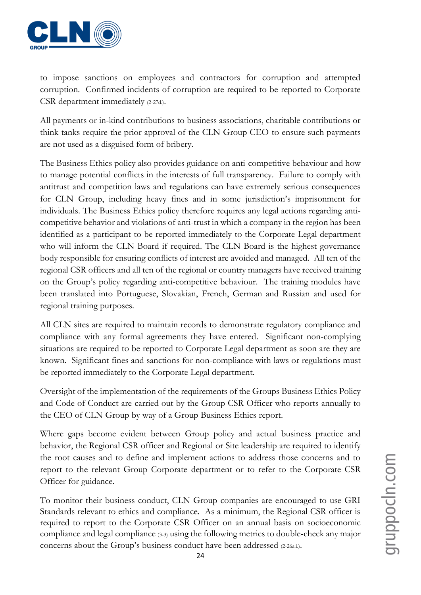

to impose sanctions on employees and contractors for corruption and attempted corruption. Confirmed incidents of corruption are required to be reported to Corporate CSR department immediately (2-27d.).

All payments or in-kind contributions to business associations, charitable contributions or think tanks require the prior approval of the CLN Group CEO to ensure such payments are not used as a disguised form of bribery.

The Business Ethics policy also provides guidance on anti-competitive behaviour and how to manage potential conflicts in the interests of full transparency. Failure to comply with antitrust and competition laws and regulations can have extremely serious consequences for CLN Group, including heavy fines and in some jurisdiction's imprisonment for individuals. The Business Ethics policy therefore requires any legal actions regarding anticompetitive behavior and violations of anti-trust in which a company in the region has been identified as a participant to be reported immediately to the Corporate Legal department who will inform the CLN Board if required. The CLN Board is the highest governance body responsible for ensuring conflicts of interest are avoided and managed. All ten of the regional CSR officers and all ten of the regional or country managers have received training on the Group's policy regarding anti-competitive behaviour. The training modules have been translated into Portuguese, Slovakian, French, German and Russian and used for regional training purposes.

All CLN sites are required to maintain records to demonstrate regulatory compliance and compliance with any formal agreements they have entered. Significant non-complying situations are required to be reported to Corporate Legal department as soon are they are known. Significant fines and sanctions for non-compliance with laws or regulations must be reported immediately to the Corporate Legal department.

Oversight of the implementation of the requirements of the Groups Business Ethics Policy and Code of Conduct are carried out by the Group CSR Officer who reports annually to the CEO of CLN Group by way of a Group Business Ethics report.

Where gaps become evident between Group policy and actual business practice and behavior, the Regional CSR officer and Regional or Site leadership are required to identify the root causes and to define and implement actions to address those concerns and to report to the relevant Group Corporate department or to refer to the Corporate CSR Officer for guidance.

To monitor their business conduct, CLN Group companies are encouraged to use GRI Standards relevant to ethics and compliance. As a minimum, the Regional CSR officer is required to report to the Corporate CSR Officer on an annual basis on socioeconomic compliance and legal compliance (3-3) using the following metrics to double-check any major concerns about the Group's business conduct have been addressed (2-26a.i.).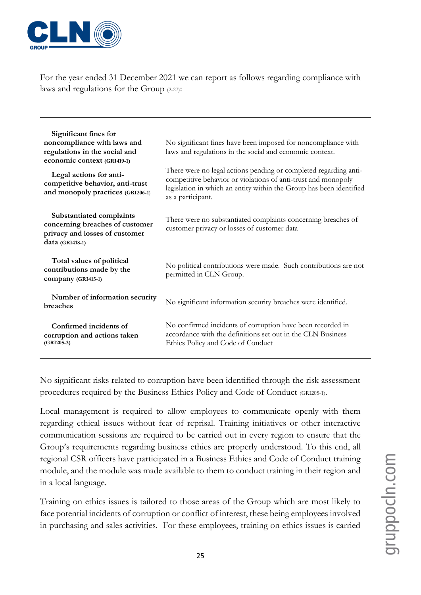

For the year ended 31 December 2021 we can report as follows regarding compliance with laws and regulations for the Group (2-27):

| Significant fines for<br>noncompliance with laws and<br>regulations in the social and<br>economic context (GRI419-1)<br>Legal actions for anti-<br>competitive behavior, anti-trust<br>and monopoly practices (GRI206-1) | No significant fines have been imposed for noncompliance with<br>laws and regulations in the social and economic context.<br>There were no legal actions pending or completed regarding anti-<br>competitive behavior or violations of anti-trust and monopoly<br>legislation in which an entity within the Group has been identified<br>as a participant. |
|--------------------------------------------------------------------------------------------------------------------------------------------------------------------------------------------------------------------------|------------------------------------------------------------------------------------------------------------------------------------------------------------------------------------------------------------------------------------------------------------------------------------------------------------------------------------------------------------|
| Substantiated complaints<br>concerning breaches of customer<br>privacy and losses of customer<br>data (GRI418-1)                                                                                                         | There were no substantiated complaints concerning breaches of<br>customer privacy or losses of customer data                                                                                                                                                                                                                                               |
| Total values of political<br>contributions made by the<br>company (GRI415-1)                                                                                                                                             | No political contributions were made. Such contributions are not<br>permitted in CLN Group.                                                                                                                                                                                                                                                                |
| Number of information security<br>breaches                                                                                                                                                                               | No significant information security breaches were identified.                                                                                                                                                                                                                                                                                              |
| Confirmed incidents of<br>corruption and actions taken<br>$(GRI205-3)$                                                                                                                                                   | No confirmed incidents of corruption have been recorded in<br>accordance with the definitions set out in the CLN Business<br>Ethics Policy and Code of Conduct                                                                                                                                                                                             |

No significant risks related to corruption have been identified through the risk assessment procedures required by the Business Ethics Policy and Code of Conduct (GRI205-1).

Local management is required to allow employees to communicate openly with them regarding ethical issues without fear of reprisal. Training initiatives or other interactive communication sessions are required to be carried out in every region to ensure that the Group's requirements regarding business ethics are properly understood. To this end, all regional CSR officers have participated in a Business Ethics and Code of Conduct training module, and the module was made available to them to conduct training in their region and in a local language.

Training on ethics issues is tailored to those areas of the Group which are most likely to face potential incidents of corruption or conflict of interest, these being employees involved in purchasing and sales activities. For these employees, training on ethics issues is carried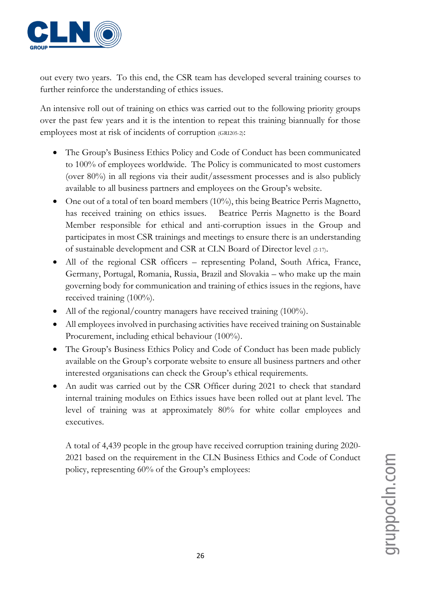

out every two years. To this end, the CSR team has developed several training courses to further reinforce the understanding of ethics issues.

An intensive roll out of training on ethics was carried out to the following priority groups over the past few years and it is the intention to repeat this training biannually for those employees most at risk of incidents of corruption (GRI205-2):

- The Group's Business Ethics Policy and Code of Conduct has been communicated to 100% of employees worldwide. The Policy is communicated to most customers (over 80%) in all regions via their audit/assessment processes and is also publicly available to all business partners and employees on the Group's website.
- One out of a total of ten board members (10%), this being Beatrice Perris Magnetto, has received training on ethics issues. Beatrice Perris Magnetto is the Board Member responsible for ethical and anti-corruption issues in the Group and participates in most CSR trainings and meetings to ensure there is an understanding of sustainable development and CSR at CLN Board of Director level (2-17).
- All of the regional CSR officers representing Poland, South Africa, France, Germany, Portugal, Romania, Russia, Brazil and Slovakia – who make up the main governing body for communication and training of ethics issues in the regions, have received training (100%).
- All of the regional/country managers have received training (100%).
- All employees involved in purchasing activities have received training on Sustainable Procurement, including ethical behaviour (100%).
- The Group's Business Ethics Policy and Code of Conduct has been made publicly available on the Group's corporate website to ensure all business partners and other interested organisations can check the Group's ethical requirements.
- An audit was carried out by the CSR Officer during 2021 to check that standard internal training modules on Ethics issues have been rolled out at plant level. The level of training was at approximately 80% for white collar employees and executives.

A total of 4,439 people in the group have received corruption training during 2020- 2021 based on the requirement in the CLN Business Ethics and Code of Conduct policy, representing 60% of the Group's employees: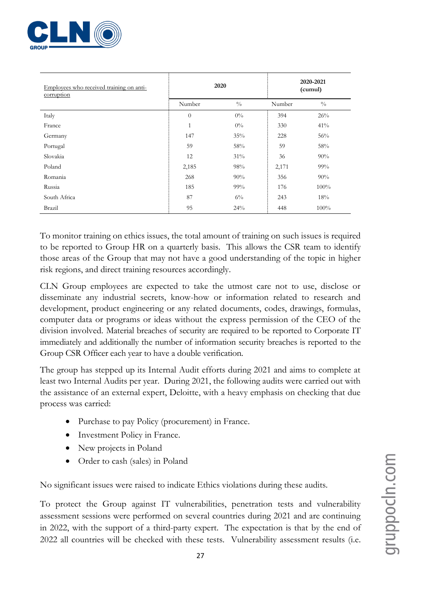

| Employees who received training on anti-<br>corruption |                | 2020          | 2020-2021<br>(cumul) |               |  |
|--------------------------------------------------------|----------------|---------------|----------------------|---------------|--|
|                                                        | Number         | $\frac{0}{0}$ | Number               | $\frac{0}{0}$ |  |
| Italy                                                  | $\overline{0}$ | $0\%$         | 394                  | 26%           |  |
| France                                                 | $\mathbf{1}$   | $0\%$         | 330                  | 41%           |  |
| Germany                                                | 147            | 35%           | 228                  | 56%           |  |
| Portugal                                               | 59             | 58%           | 59                   | 58%           |  |
| Slovakia                                               | 12             | $31\%$        | 36                   | 90%           |  |
| Poland                                                 | 2,185          | 98%           | 2,171                | 99%           |  |
| Romania                                                | 268            | 90%           | 356                  | 90%           |  |
| Russia                                                 | 185            | $99\%$        | 176                  | 100%          |  |
| South Africa                                           | 87             | $6\%$         | 243                  | 18%           |  |
| Brazil                                                 | 95             | 24%           | 448                  | 100%          |  |

To monitor training on ethics issues, the total amount of training on such issues is required to be reported to Group HR on a quarterly basis. This allows the CSR team to identify those areas of the Group that may not have a good understanding of the topic in higher risk regions, and direct training resources accordingly.

CLN Group employees are expected to take the utmost care not to use, disclose or disseminate any industrial secrets, know-how or information related to research and development, product engineering or any related documents, codes, drawings, formulas, computer data or programs or ideas without the express permission of the CEO of the division involved. Material breaches of security are required to be reported to Corporate IT immediately and additionally the number of information security breaches is reported to the Group CSR Officer each year to have a double verification.

The group has stepped up its Internal Audit efforts during 2021 and aims to complete at least two Internal Audits per year. During 2021, the following audits were carried out with the assistance of an external expert, Deloitte, with a heavy emphasis on checking that due process was carried:

- Purchase to pay Policy (procurement) in France.
- Investment Policy in France.
- New projects in Poland
- Order to cash (sales) in Poland

No significant issues were raised to indicate Ethics violations during these audits.

To protect the Group against IT vulnerabilities, penetration tests and vulnerability assessment sessions were performed on several countries during 2021 and are continuing in 2022, with the support of a third-party expert. The expectation is that by the end of 2022 all countries will be checked with these tests. Vulnerability assessment results (i.e.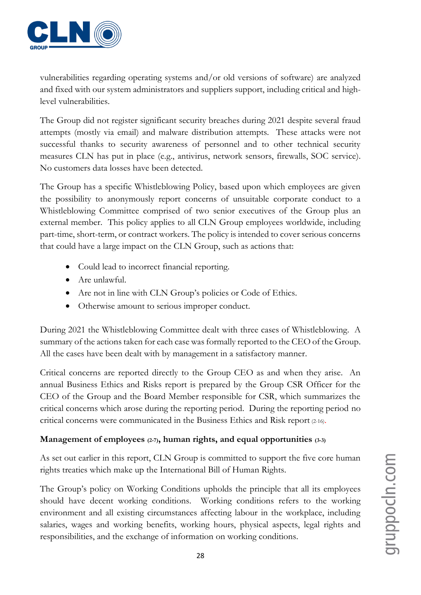

vulnerabilities regarding operating systems and/or old versions of software) are analyzed and fixed with our system administrators and suppliers support, including critical and highlevel vulnerabilities.

The Group did not register significant security breaches during 2021 despite several fraud attempts (mostly via email) and malware distribution attempts. These attacks were not successful thanks to security awareness of personnel and to other technical security measures CLN has put in place (e.g., antivirus, network sensors, firewalls, SOC service). No customers data losses have been detected.

The Group has a specific Whistleblowing Policy, based upon which employees are given the possibility to anonymously report concerns of unsuitable corporate conduct to a Whistleblowing Committee comprised of two senior executives of the Group plus an external member. This policy applies to all CLN Group employees worldwide, including part-time, short-term, or contract workers. The policy is intended to cover serious concerns that could have a large impact on the CLN Group, such as actions that:

- Could lead to incorrect financial reporting.
- Are unlawful.
- Are not in line with CLN Group's policies or Code of Ethics.
- Otherwise amount to serious improper conduct.

During 2021 the Whistleblowing Committee dealt with three cases of Whistleblowing. A summary of the actions taken for each case was formally reported to the CEO of the Group. All the cases have been dealt with by management in a satisfactory manner.

Critical concerns are reported directly to the Group CEO as and when they arise. An annual Business Ethics and Risks report is prepared by the Group CSR Officer for the CEO of the Group and the Board Member responsible for CSR, which summarizes the critical concerns which arose during the reporting period. During the reporting period no critical concerns were communicated in the Business Ethics and Risk report (2-16).

#### **Management of employees (2-7), human rights, and equal opportunities (3-3)**

As set out earlier in this report, CLN Group is committed to support the five core human rights treaties which make up the International Bill of Human Rights.

The Group's policy on Working Conditions upholds the principle that all its employees should have decent working conditions. Working conditions refers to the working environment and all existing circumstances affecting labour in the workplace, including salaries, wages and working benefits, working hours, physical aspects, legal rights and responsibilities, and the exchange of information on working conditions.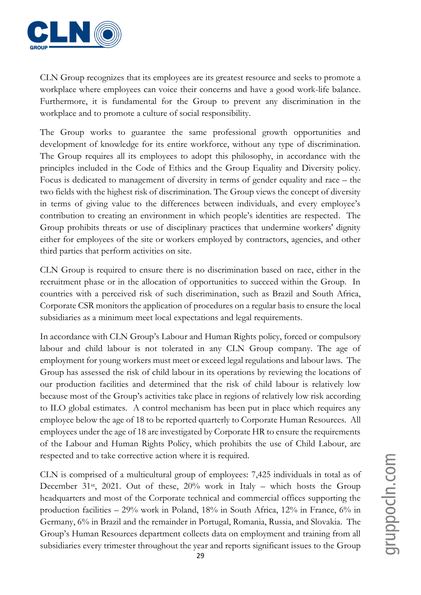

CLN Group recognizes that its employees are its greatest resource and seeks to promote a workplace where employees can voice their concerns and have a good work-life balance. Furthermore, it is fundamental for the Group to prevent any discrimination in the workplace and to promote a culture of social responsibility.

The Group works to guarantee the same professional growth opportunities and development of knowledge for its entire workforce, without any type of discrimination. The Group requires all its employees to adopt this philosophy, in accordance with the principles included in the Code of Ethics and the Group Equality and Diversity policy. Focus is dedicated to management of diversity in terms of gender equality and race – the two fields with the highest risk of discrimination. The Group views the concept of diversity in terms of giving value to the differences between individuals, and every employee's contribution to creating an environment in which people's identities are respected. The Group prohibits threats or use of disciplinary practices that undermine workers' dignity either for employees of the site or workers employed by contractors, agencies, and other third parties that perform activities on site.

CLN Group is required to ensure there is no discrimination based on race, either in the recruitment phase or in the allocation of opportunities to succeed within the Group. In countries with a perceived risk of such discrimination, such as Brazil and South Africa, Corporate CSR monitors the application of procedures on a regular basis to ensure the local subsidiaries as a minimum meet local expectations and legal requirements.

In accordance with CLN Group's Labour and Human Rights policy, forced or compulsory labour and child labour is not tolerated in any CLN Group company. The age of employment for young workers must meet or exceed legal regulations and labour laws. The Group has assessed the risk of child labour in its operations by reviewing the locations of our production facilities and determined that the risk of child labour is relatively low because most of the Group's activities take place in regions of relatively low risk according to ILO global estimates. A control mechanism has been put in place which requires any employee below the age of 18 to be reported quarterly to Corporate Human Resources. All employees under the age of 18 are investigated by Corporate HR to ensure the requirements of the Labour and Human Rights Policy, which prohibits the use of Child Labour, are respected and to take corrective action where it is required.

CLN is comprised of a multicultural group of employees: 7,425 individuals in total as of December 31st, 2021. Out of these, 20% work in Italy – which hosts the Group headquarters and most of the Corporate technical and commercial offices supporting the production facilities – 29% work in Poland, 18% in South Africa, 12% in France, 6% in Germany, 6% in Brazil and the remainder in Portugal, Romania, Russia, and Slovakia. The Group's Human Resources department collects data on employment and training from all subsidiaries every trimester throughout the year and reports significant issues to the Group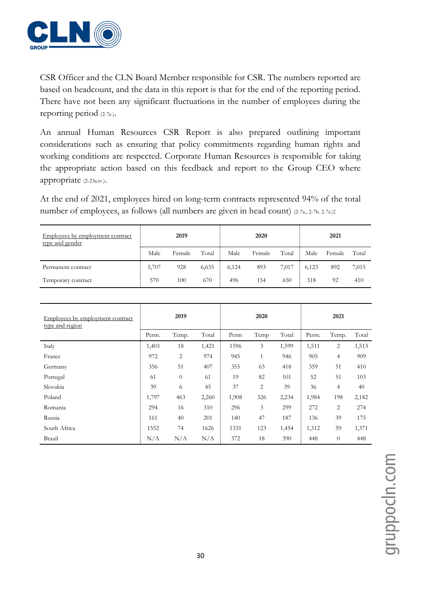

CSR Officer and the CLN Board Member responsible for CSR. The numbers reported are based on headcount, and the data in this report is that for the end of the reporting period. There have not been any significant fluctuations in the number of employees during the reporting period (2-7e.).

An annual Human Resources CSR Report is also prepared outlining important considerations such as ensuring that policy commitments regarding human rights and working conditions are respected. Corporate Human Resources is responsible for taking the appropriate action based on this feedback and report to the Group CEO where appropriate (2-23a.iv.).

At the end of 2021, employees hired on long-term contracts represented 94% of the total number of employees, as follows (all numbers are given in head count) (2-7a., 2-7b. 2-7c.):

| Employees by employment contract<br>type and gender | 2019  |        |       |       | 2020   |       | 2021  |        |       |
|-----------------------------------------------------|-------|--------|-------|-------|--------|-------|-------|--------|-------|
|                                                     | Male  | Female | Total | Male  | Female | Total | Male  | Female | Total |
| Permanent contract                                  | 5,707 | 928    | 6,635 | 6,124 | 893    | 7,017 | 6,123 | 892    | 7,015 |
| Temporary contract                                  | 570   | 100    | 670   | 496   | 154    | 650   | 318   | 92     | 410   |

| Employees by employment contract<br>type and region | 2019  |                  |       |       | 2020         |       | 2021  |                |       |
|-----------------------------------------------------|-------|------------------|-------|-------|--------------|-------|-------|----------------|-------|
|                                                     | Perm. | Temp.            | Total | Perm  | Temp         | Total | Perm. | Temp.          | Total |
| Italy                                               | 1,403 | 18               | 1,421 | 1596  | 3            | 1,599 | 1,511 | 2              | 1,513 |
| France                                              | 972   | $\overline{2}$   | 974   | 945   | $\mathbf{1}$ | 946   | 905   | $\overline{4}$ | 909   |
| Germany                                             | 356   | 51               | 407   | 355   | 63           | 418   | 359   | 51             | 410   |
| Portugal                                            | 61    | $\boldsymbol{0}$ | 61    | 19    | 82           | 101   | 52    | 51             | 103   |
| Slovakia                                            | 39    | 6                | 45    | 37    | 2            | 39    | 36    | $\overline{4}$ | 40    |
| Poland                                              | 1,797 | 463              | 2,260 | 1,908 | 326          | 2,234 | 1,984 | 198            | 2,182 |
| Romania                                             | 294   | 16               | 310   | 296   | 3            | 299   | 272   | $\overline{2}$ | 274   |
| Russia                                              | 161   | 40               | 201   | 140   | 47           | 187   | 136   | 39             | 175   |
| South Africa                                        | 1552  | 74               | 1626  | 1331  | 123          | 1,454 | 1,312 | 59             | 1,371 |
| Brazil                                              | N/A   | N/A              | N/A   | 372   | 18           | 390   | 448   | $\theta$       | 448   |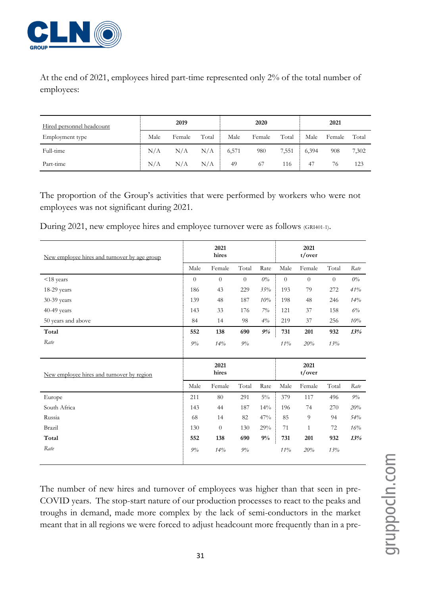

At the end of 2021, employees hired part-time represented only 2% of the total number of employees:

| Hired personnel headcount | 2019 |        |       |       | 2020   |       | 2021  |        |       |
|---------------------------|------|--------|-------|-------|--------|-------|-------|--------|-------|
| Employment type           | Male | Female | Total | Male  | Female | Total | Male  | Female | Total |
| Full-time                 | N/A  | N/A    | N/A   | 6,571 | 980    | 7,551 | 6,394 | 908    | 7,302 |
| Part-time                 | N/A  | N/A    | N/A   | 49    | 67     | 116   | 47    | 76     | 123   |

The proportion of the Group's activities that were performed by workers who were not employees was not significant during 2021.

During 2021, new employee hires and employee turnover were as follows (GRI401-1).

| New employee hires and turnover by age group |                | 2021<br>hires |          |       |          | 2021<br>t/over |          |       |
|----------------------------------------------|----------------|---------------|----------|-------|----------|----------------|----------|-------|
|                                              | Male           | Female        | Total    | Rate  | Male     | Female         | Total    | Rate  |
| $<$ 18 years                                 | $\overline{0}$ | $\theta$      | $\Omega$ | $0\%$ | $\theta$ | $\theta$       | $\theta$ | $0\%$ |
| $18-29$ years                                | 186            | 43            | 229      | 35%   | 193      | 79             | 272      | 41%   |
| 30-39 years                                  | 139            | 48            | 187      | 10%   | 198      | 48             | 246      | 14%   |
| 40-49 years                                  | 143            | 33            | 176      | $7\%$ | 121      | 37             | 158      | 6%    |
| 50 years and above                           | 84             | 14            | 98       | 4%    | 219      | 37             | 256      | 10%   |
| Total                                        | 552            | 138           | 690      | 9%    | 731      | 201            | 932      | 13%   |
| Rate                                         | $9\%$          | 14%           | $9\%$    |       | 11%      | 20%            | 13%      |       |
|                                              |                |               |          |       |          |                |          |       |
| New employee hires and turnover by region    |                | 2021<br>hires |          |       |          | 2021<br>t/over |          |       |
|                                              | Male           | Female        | Total    | Rate  | Male     | Female         | Total    | Rate  |
| Europe                                       | 211            | 80            | 291      | $5\%$ | 379      | 117            | 496      | $9\%$ |
| South Africa                                 | 143            | 44            | 187      | 14%   | 196      | 74             | 270      | 20%   |
| Russia                                       | 68             | 14            | 82       | 47%   | 85       | 9              | 94       | 54%   |
| Brazil                                       | 130            | $\theta$      | 130      | 29%   | 71       | $\mathbf{1}$   | 72       | 16%   |
| Total                                        | 552            | 138           | 690      | 9%    | 731      | 201            | 932      | 13%   |
| Rate                                         | $9\%$          | 14%           | $9\%$    |       | 11%      | 20%            | 13%      |       |
|                                              |                |               |          |       |          |                |          |       |

The number of new hires and turnover of employees was higher than that seen in pre-COVID years. The stop-start nature of our production processes to react to the peaks and troughs in demand, made more complex by the lack of semi-conductors in the market meant that in all regions we were forced to adjust headcount more frequently than in a pre-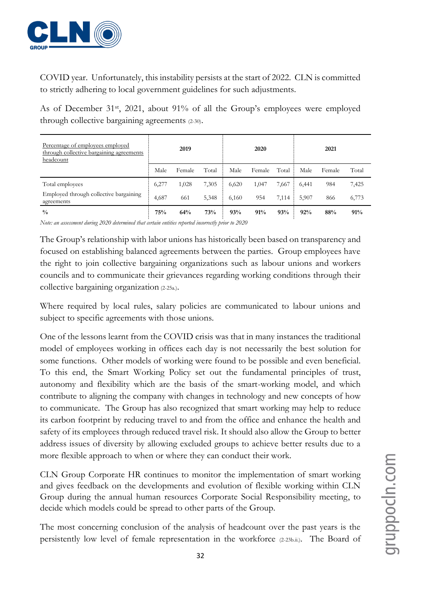

COVID year. Unfortunately, this instability persists at the start of 2022. CLN is committed to strictly adhering to local government guidelines for such adjustments.

As of December 31<sup>st</sup>, 2021, about 91% of all the Group's employees were employed through collective bargaining agreements (2-30).

| Percentage of employees employed<br>through collective bargaining agreements<br>headcount | 2019  |        |       | 2020  |        |       | 2021  |        |       |  |
|-------------------------------------------------------------------------------------------|-------|--------|-------|-------|--------|-------|-------|--------|-------|--|
|                                                                                           | Male  | Female | Total | Male  | Female | Total | Male  | Female | Total |  |
| Total employees                                                                           | 6,277 | 1,028  | 7,305 | 6,620 | 1,047  | 7,667 | 6,441 | 984    | 7,425 |  |
| Employed through collective bargaining<br>agreements                                      | 4,687 | 661    | 5,348 | 6,160 | 954    | 7,114 | 5,907 | 866    | 6,773 |  |
| $\frac{0}{0}$                                                                             | 75%   | 64%    | 73%   | 93%   | 91%    | 93%   | 92%   | 88%    | 91%   |  |

*Note: an assessment during 2020 determined that certain entities reported incorrectly prior to 2020*

The Group's relationship with labor unions has historically been based on transparency and focused on establishing balanced agreements between the parties. Group employees have the right to join collective bargaining organizations such as labour unions and workers councils and to communicate their grievances regarding working conditions through their collective bargaining organization (2-25a.).

Where required by local rules, salary policies are communicated to labour unions and subject to specific agreements with those unions.

One of the lessons learnt from the COVID crisis was that in many instances the traditional model of employees working in offices each day is not necessarily the best solution for some functions. Other models of working were found to be possible and even beneficial. To this end, the Smart Working Policy set out the fundamental principles of trust, autonomy and flexibility which are the basis of the smart-working model, and which contribute to aligning the company with changes in technology and new concepts of how to communicate. The Group has also recognized that smart working may help to reduce its carbon footprint by reducing travel to and from the office and enhance the health and safety of its employees through reduced travel risk. It should also allow the Group to better address issues of diversity by allowing excluded groups to achieve better results due to a more flexible approach to when or where they can conduct their work.

CLN Group Corporate HR continues to monitor the implementation of smart working and gives feedback on the developments and evolution of flexible working within CLN Group during the annual human resources Corporate Social Responsibility meeting, to decide which models could be spread to other parts of the Group.

The most concerning conclusion of the analysis of headcount over the past years is the persistently low level of female representation in the workforce (2-23b.ii.). The Board of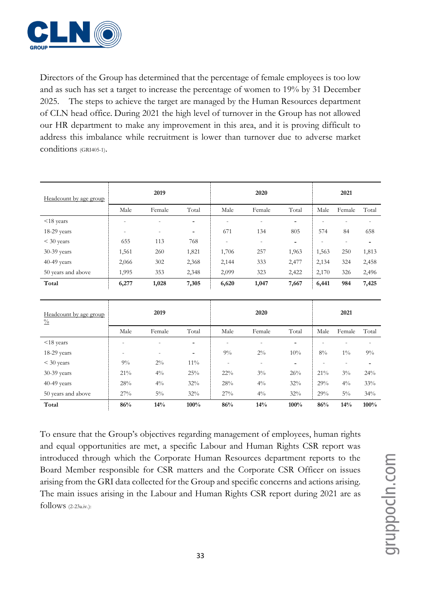

Directors of the Group has determined that the percentage of female employees is too low and as such has set a target to increase the percentage of women to 19% by 31 December 2025. The steps to achieve the target are managed by the Human Resources department of CLN head office. During 2021 the high level of turnover in the Group has not allowed our HR department to make any improvement in this area, and it is proving difficult to address this imbalance while recruitment is lower than turnover due to adverse market conditions (GRI405-1).

| Headcount by age group                  |                          | 2019                     |                   |                          | 2020                     |                          |                | 2021                     |       |
|-----------------------------------------|--------------------------|--------------------------|-------------------|--------------------------|--------------------------|--------------------------|----------------|--------------------------|-------|
|                                         | Male                     | Female                   | Total             | Male                     | Female                   | Total                    | Male           | Female                   | Total |
| $<$ 18 years                            | $\overline{a}$           | $\overline{a}$           | ٠                 | $\overline{a}$           | $\qquad \qquad -$        | $\overline{\phantom{a}}$ |                |                          |       |
| $18-29$ years                           | $\overline{\phantom{a}}$ | $\overline{\phantom{a}}$ | $\qquad \qquad -$ | 671                      | 134                      | 805                      | 574            | 84                       | 658   |
| $<$ 30 years                            | 655                      | 113                      | 768               | $\overline{\phantom{0}}$ | $\overline{\phantom{a}}$ | ٠                        | $\overline{a}$ | $\overline{\phantom{a}}$ | ۰     |
| 30-39 years                             | 1,561                    | 260                      | 1,821             | 1,706                    | 257                      | 1,963                    | 1,563          | 250                      | 1,813 |
| 40-49 years                             | 2,066                    | 302                      | 2,368             | 2,144                    | 333                      | 2,477                    | 2,134          | 324                      | 2,458 |
| 50 years and above                      | 1,995                    | 353                      | 2,348             | 2,099                    | 323                      | 2,422                    | 2,170          | 326                      | 2,496 |
| Total                                   | 6,277                    | 1,028                    | 7,305             | 6,620                    | 1,047                    | 7,667                    | 6,441          | 984                      | 7,425 |
| Headcount by age group<br>$\frac{0}{0}$ |                          | 2019                     |                   |                          | 2020                     |                          |                | 2021                     |       |
|                                         | Male                     | Female                   | Total             | Male                     | Female                   | Total                    | Male           | Female                   | Total |
| $<$ 18 years                            |                          |                          |                   | $\overline{a}$           |                          |                          |                |                          |       |

18-29 years - - - 9% 2% 10% 8% 1% 9%  $<$  30 years  $9\%$   $2\%$   $11\%$  - - - - - - - -30-39 years 21% 4% 25% 22% 3% 26% 21% 3% 24% 40-49 years  $\begin{array}{|l|c|c|c|c|c|c|c|}\n\hline\n & 28\% & 4\% & 32\% & 28\% & 4\% & 32\% & 29\% & 4\% & 33\% \\
\hline\n\end{array}$ 50 years and above 27% 5% 32% 27% 4% 32% 29% 5% 34% **Total 86% 14% 100% 86% 14% 100% 86% 14% 100%**

To ensure that the Group's objectives regarding management of employees, human rights and equal opportunities are met, a specific Labour and Human Rights CSR report was introduced through which the Corporate Human Resources department reports to the Board Member responsible for CSR matters and the Corporate CSR Officer on issues arising from the GRI data collected for the Group and specific concerns and actions arising. The main issues arising in the Labour and Human Rights CSR report during 2021 are as follows (2-23a.iv.):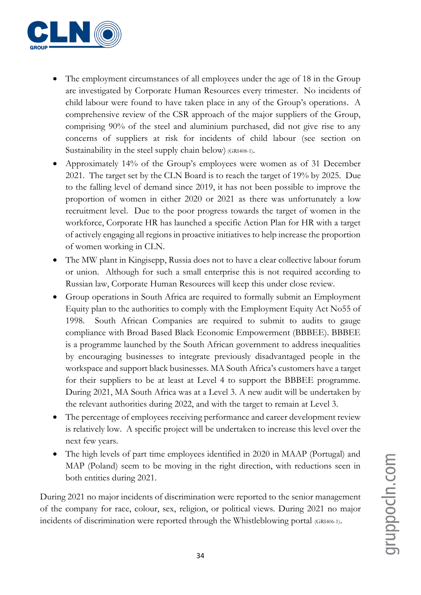

- The employment circumstances of all employees under the age of 18 in the Group are investigated by Corporate Human Resources every trimester. No incidents of child labour were found to have taken place in any of the Group's operations. A comprehensive review of the CSR approach of the major suppliers of the Group, comprising 90% of the steel and aluminium purchased, did not give rise to any concerns of suppliers at risk for incidents of child labour (see section on Sustainability in the steel supply chain below) (GRI408-1).
- Approximately 14% of the Group's employees were women as of 31 December 2021. The target set by the CLN Board is to reach the target of 19% by 2025. Due to the falling level of demand since 2019, it has not been possible to improve the proportion of women in either 2020 or 2021 as there was unfortunately a low recruitment level. Due to the poor progress towards the target of women in the workforce, Corporate HR has launched a specific Action Plan for HR with a target of actively engaging all regions in proactive initiatives to help increase the proportion of women working in CLN.
- The MW plant in Kingisepp, Russia does not to have a clear collective labour forum or union. Although for such a small enterprise this is not required according to Russian law, Corporate Human Resources will keep this under close review.
- Group operations in South Africa are required to formally submit an Employment Equity plan to the authorities to comply with the Employment Equity Act No55 of 1998. South African Companies are required to submit to audits to gauge compliance with Broad Based Black Economic Empowerment (BBBEE). BBBEE is a programme launched by the South African government to address inequalities by encouraging businesses to integrate previously disadvantaged people in the workspace and support black businesses. MA South Africa's customers have a target for their suppliers to be at least at Level 4 to support the BBBEE programme. During 2021, MA South Africa was at a Level 3. A new audit will be undertaken by the relevant authorities during 2022, and with the target to remain at Level 3.
- The percentage of employees receiving performance and career development review is relatively low. A specific project will be undertaken to increase this level over the next few years.
- The high levels of part time employees identified in 2020 in MAAP (Portugal) and MAP (Poland) seem to be moving in the right direction, with reductions seen in both entities during 2021.

During 2021 no major incidents of discrimination were reported to the senior management of the company for race, colour, sex, religion, or political views. During 2021 no major incidents of discrimination were reported through the Whistleblowing portal (GRI406-1).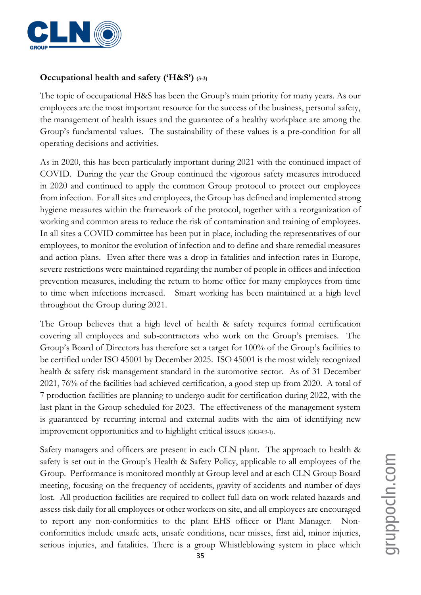

#### **Occupational health and safety ('H&S') (3-3)**

The topic of occupational H&S has been the Group's main priority for many years. As our employees are the most important resource for the success of the business, personal safety, the management of health issues and the guarantee of a healthy workplace are among the Group's fundamental values. The sustainability of these values is a pre-condition for all operating decisions and activities.

As in 2020, this has been particularly important during 2021 with the continued impact of COVID. During the year the Group continued the vigorous safety measures introduced in 2020 and continued to apply the common Group protocol to protect our employees from infection. For all sites and employees, the Group has defined and implemented strong hygiene measures within the framework of the protocol, together with a reorganization of working and common areas to reduce the risk of contamination and training of employees. In all sites a COVID committee has been put in place, including the representatives of our employees, to monitor the evolution of infection and to define and share remedial measures and action plans. Even after there was a drop in fatalities and infection rates in Europe, severe restrictions were maintained regarding the number of people in offices and infection prevention measures, including the return to home office for many employees from time to time when infections increased. Smart working has been maintained at a high level throughout the Group during 2021.

The Group believes that a high level of health & safety requires formal certification covering all employees and sub-contractors who work on the Group's premises. The Group's Board of Directors has therefore set a target for 100% of the Group's facilities to be certified under ISO 45001 by December 2025. ISO 45001 is the most widely recognized health & safety risk management standard in the automotive sector. As of 31 December 2021, 76% of the facilities had achieved certification, a good step up from 2020. A total of 7 production facilities are planning to undergo audit for certification during 2022, with the last plant in the Group scheduled for 2023. The effectiveness of the management system is guaranteed by recurring internal and external audits with the aim of identifying new improvement opportunities and to highlight critical issues (GRI403-1).

Safety managers and officers are present in each CLN plant. The approach to health & safety is set out in the Group's Health & Safety Policy, applicable to all employees of the Group. Performance is monitored monthly at Group level and at each CLN Group Board meeting, focusing on the frequency of accidents, gravity of accidents and number of days lost. All production facilities are required to collect full data on work related hazards and assess risk daily for all employees or other workers on site, and all employees are encouraged to report any non-conformities to the plant EHS officer or Plant Manager. Nonconformities include unsafe acts, unsafe conditions, near misses, first aid, minor injuries, serious injuries, and fatalities. There is a group Whistleblowing system in place which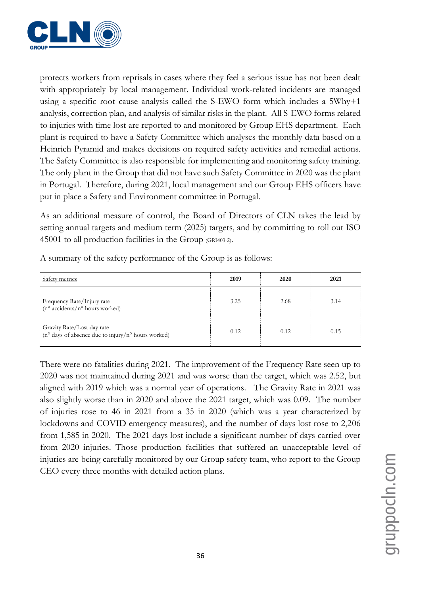

protects workers from reprisals in cases where they feel a serious issue has not been dealt with appropriately by local management. Individual work-related incidents are managed using a specific root cause analysis called the S-EWO form which includes a 5Why+1 analysis, correction plan, and analysis of similar risks in the plant. All S-EWO forms related to injuries with time lost are reported to and monitored by Group EHS department. Each plant is required to have a Safety Committee which analyses the monthly data based on a Heinrich Pyramid and makes decisions on required safety activities and remedial actions. The Safety Committee is also responsible for implementing and monitoring safety training. The only plant in the Group that did not have such Safety Committee in 2020 was the plant in Portugal. Therefore, during 2021, local management and our Group EHS officers have put in place a Safety and Environment committee in Portugal.

As an additional measure of control, the Board of Directors of CLN takes the lead by setting annual targets and medium term (2025) targets, and by committing to roll out ISO 45001 to all production facilities in the Group (GRI403-2).

| Safety metrics                                                                                      | 2019 | 2020 | 2021 |
|-----------------------------------------------------------------------------------------------------|------|------|------|
| Frequency Rate/Injury rate<br>$(n^{\circ} \text{ accidents}/n^{\circ} \text{ hours worked})$        | 3.25 | 2.68 | 3.14 |
| Gravity Rate/Lost day rate<br>$(n^{\circ}$ days of absence due to injury/ $n^{\circ}$ hours worked) | 0.12 | 0.12 | 0.15 |

A summary of the safety performance of the Group is as follows:

There were no fatalities during 2021. The improvement of the Frequency Rate seen up to 2020 was not maintained during 2021 and was worse than the target, which was 2.52, but aligned with 2019 which was a normal year of operations. The Gravity Rate in 2021 was also slightly worse than in 2020 and above the 2021 target, which was 0.09. The number of injuries rose to 46 in 2021 from a 35 in 2020 (which was a year characterized by lockdowns and COVID emergency measures), and the number of days lost rose to 2,206 from 1,585 in 2020. The 2021 days lost include a significant number of days carried over from 2020 injuries. Those production facilities that suffered an unacceptable level of injuries are being carefully monitored by our Group safety team, who report to the Group CEO every three months with detailed action plans.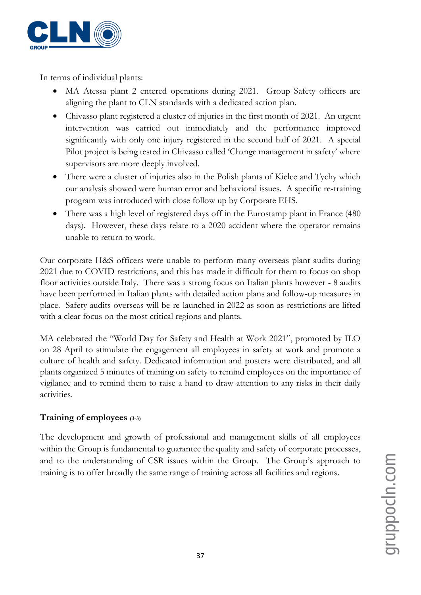

In terms of individual plants:

- MA Atessa plant 2 entered operations during 2021. Group Safety officers are aligning the plant to CLN standards with a dedicated action plan.
- Chivasso plant registered a cluster of injuries in the first month of 2021. An urgent intervention was carried out immediately and the performance improved significantly with only one injury registered in the second half of 2021. A special Pilot project is being tested in Chivasso called 'Change management in safety' where supervisors are more deeply involved.
- There were a cluster of injuries also in the Polish plants of Kielce and Tychy which our analysis showed were human error and behavioral issues. A specific re-training program was introduced with close follow up by Corporate EHS.
- There was a high level of registered days off in the Eurostamp plant in France (480) days). However, these days relate to a 2020 accident where the operator remains unable to return to work.

Our corporate H&S officers were unable to perform many overseas plant audits during 2021 due to COVID restrictions, and this has made it difficult for them to focus on shop floor activities outside Italy. There was a strong focus on Italian plants however - 8 audits have been performed in Italian plants with detailed action plans and follow-up measures in place. Safety audits overseas will be re-launched in 2022 as soon as restrictions are lifted with a clear focus on the most critical regions and plants.

MA celebrated the "World Day for Safety and Health at Work 2021", promoted by ILO on 28 April to stimulate the engagement all employees in safety at work and promote a culture of health and safety. Dedicated information and posters were distributed, and all plants organized 5 minutes of training on safety to remind employees on the importance of vigilance and to remind them to raise a hand to draw attention to any risks in their daily activities.

#### **Training of employees (3-3)**

The development and growth of professional and management skills of all employees within the Group is fundamental to guarantee the quality and safety of corporate processes, and to the understanding of CSR issues within the Group. The Group's approach to training is to offer broadly the same range of training across all facilities and regions.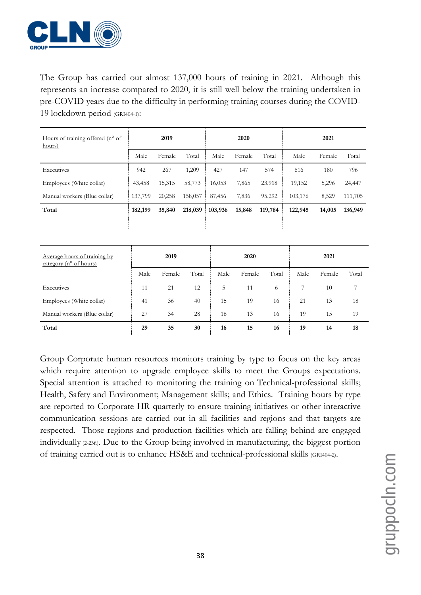

The Group has carried out almost 137,000 hours of training in 2021. Although this represents an increase compared to 2020, it is still well below the training undertaken in pre-COVID years due to the difficulty in performing training courses during the COVID-19 lockdown period (GRI404-1):

| Hours of training offered $(n^{\circ}$ of<br>hours) |         | 2019   |         |         | 2020   |         |         | 2021   |         |
|-----------------------------------------------------|---------|--------|---------|---------|--------|---------|---------|--------|---------|
|                                                     | Male    | Female | Total   | Male    | Female | Total   | Male    | Female | Total   |
| Executives                                          | 942     | 267    | 1,209   | 427     | 147    | 574     | 616     | 180    | 796     |
| Employees (White collar)                            | 43,458  | 15,315 | 58,773  | 16,053  | 7,865  | 23,918  | 19,152  | 5,296  | 24,447  |
| Manual workers (Blue collar)                        | 137,799 | 20,258 | 158,057 | 87,456  | 7,836  | 95,292  | 103,176 | 8,529  | 111,705 |
| Total                                               | 182,199 | 35,840 | 218,039 | 103,936 | 15,848 | 119,784 | 122,945 | 14,005 | 136,949 |
|                                                     |         |        |         |         |        |         |         |        |         |

| Average hours of training by<br>category ( $n^{\circ}$ of hours) |      | 2019   |       |      | 2020   |       |      | 2021   |       |
|------------------------------------------------------------------|------|--------|-------|------|--------|-------|------|--------|-------|
|                                                                  | Male | Female | Total | Male | Female | Total | Male | Female | Total |
| Executives                                                       | 11   | 21     | 12    | 5    | 11     | 6     |      | 10     | 7     |
| Employees (White collar)                                         | 41   | 36     | 40    | 15   | 19     | 16    | 21   | 13     | 18    |
| Manual workers (Blue collar)                                     | 27   | 34     | 28    | 16   | 13     | 16    | 19   | 15     | 19    |
| Total                                                            | 29   | 35     | 30    | 16   | 15     | 16    | 19   | 14     | 18    |

Group Corporate human resources monitors training by type to focus on the key areas which require attention to upgrade employee skills to meet the Groups expectations. Special attention is attached to monitoring the training on Technical-professional skills; Health, Safety and Environment; Management skills; and Ethics. Training hours by type are reported to Corporate HR quarterly to ensure training initiatives or other interactive communication sessions are carried out in all facilities and regions and that targets are respected. Those regions and production facilities which are falling behind are engaged individually (2-23f.). Due to the Group being involved in manufacturing, the biggest portion of training carried out is to enhance HS&E and technical-professional skills (GRI404-2).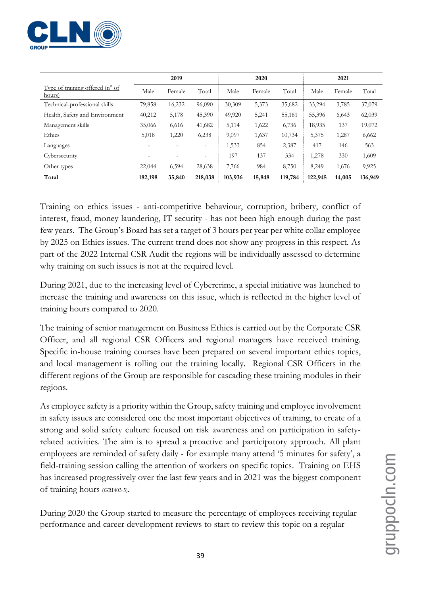

|                                                    |         | 2019   |                          |         | 2020   |         |         | 2021   |         |
|----------------------------------------------------|---------|--------|--------------------------|---------|--------|---------|---------|--------|---------|
| Type of training offered $(n^{\circ}$ of<br>hours) | Male    | Female | Total                    | Male    | Female | Total   | Male    | Female | Total   |
| Technical-professional skills                      | 79,858  | 16,232 | 96,090                   | 30,309  | 5,373  | 35,682  | 33,294  | 3,785  | 37,079  |
| Health, Safety and Environment                     | 40,212  | 5,178  | 45,390                   | 49,920  | 5,241  | 55,161  | 55,396  | 6,643  | 62,039  |
| Management skills                                  | 35,066  | 6,616  | 41,682                   | 5,114   | 1,622  | 6,736   | 18,935  | 137    | 19,072  |
| Ethics                                             | 5,018   | 1,220  | 6,238                    | 9,097   | 1,637  | 10,734  | 5,375   | 1,287  | 6,662   |
| Languages                                          |         |        | $\overline{\phantom{a}}$ | 1,533   | 854    | 2,387   | 417     | 146    | 563     |
| Cybersecurity                                      |         |        | $\overline{\phantom{0}}$ | 197     | 137    | 334     | 1,278   | 330    | 1,609   |
| Other types                                        | 22,044  | 6,594  | 28,638                   | 7,766   | 984    | 8,750   | 8,249   | 1,676  | 9,925   |
| Total                                              | 182,198 | 35,840 | 218,038                  | 103,936 | 15,848 | 119,784 | 122,945 | 14,005 | 136,949 |

Training on ethics issues - anti-competitive behaviour, corruption, bribery, conflict of interest, fraud, money laundering, IT security - has not been high enough during the past few years. The Group's Board has set a target of 3 hours per year per white collar employee by 2025 on Ethics issues. The current trend does not show any progress in this respect. As part of the 2022 Internal CSR Audit the regions will be individually assessed to determine why training on such issues is not at the required level.

During 2021, due to the increasing level of Cybercrime, a special initiative was launched to increase the training and awareness on this issue, which is reflected in the higher level of training hours compared to 2020.

The training of senior management on Business Ethics is carried out by the Corporate CSR Officer, and all regional CSR Officers and regional managers have received training. Specific in-house training courses have been prepared on several important ethics topics, and local management is rolling out the training locally. Regional CSR Officers in the different regions of the Group are responsible for cascading these training modules in their regions.

As employee safety is a priority within the Group, safety training and employee involvement in safety issues are considered one the most important objectives of training, to create of a strong and solid safety culture focused on risk awareness and on participation in safetyrelated activities. The aim is to spread a proactive and participatory approach. All plant employees are reminded of safety daily - for example many attend '5 minutes for safety', a field-training session calling the attention of workers on specific topics. Training on EHS has increased progressively over the last few years and in 2021 was the biggest component of training hours (GRI403-5).

During 2020 the Group started to measure the percentage of employees receiving regular performance and career development reviews to start to review this topic on a regular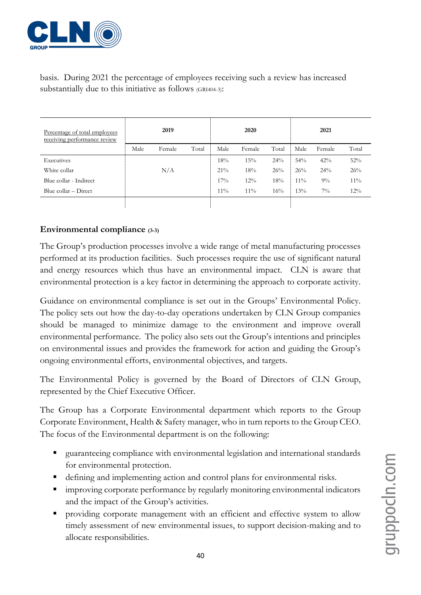

basis. During 2021 the percentage of employees receiving such a review has increased substantially due to this initiative as follows (GRI404-3):

| Percentage of total employees<br>receiving performance review | 2019 |        |       | 2020   |        |        | 2021   |        |       |
|---------------------------------------------------------------|------|--------|-------|--------|--------|--------|--------|--------|-------|
|                                                               | Male | Female | Total | Male   | Female | Total  | Male   | Female | Total |
| Executives                                                    |      |        |       | 18%    | 15%    | $24\%$ | 54%    | 42%    | 52%   |
| White collar                                                  |      | N/A    |       | $21\%$ | 18%    | 26%    | 26%    | 24%    | 26%   |
| Blue collar - Indirect                                        |      |        |       | 17%    | $12\%$ | 18%    | $11\%$ | $9\%$  | 11%   |
| Blue collar – Direct                                          |      |        |       | $11\%$ | $11\%$ | 16%    | 13%    | $7\%$  | 12%   |
|                                                               |      |        |       |        |        |        |        |        |       |

#### **Environmental compliance (3-3)**

The Group's production processes involve a wide range of metal manufacturing processes performed at its production facilities. Such processes require the use of significant natural and energy resources which thus have an environmental impact. CLN is aware that environmental protection is a key factor in determining the approach to corporate activity.

Guidance on environmental compliance is set out in the Groups' Environmental Policy. The policy sets out how the day-to-day operations undertaken by CLN Group companies should be managed to minimize damage to the environment and improve overall environmental performance. The policy also sets out the Group's intentions and principles on environmental issues and provides the framework for action and guiding the Group's ongoing environmental efforts, environmental objectives, and targets.

The Environmental Policy is governed by the Board of Directors of CLN Group, represented by the Chief Executive Officer.

The Group has a Corporate Environmental department which reports to the Group Corporate Environment, Health & Safety manager, who in turn reports to the Group CEO. The focus of the Environmental department is on the following:

- guaranteeing compliance with environmental legislation and international standards for environmental protection.
- defining and implementing action and control plans for environmental risks.
- **EXECUTE:** improving corporate performance by regularly monitoring environmental indicators and the impact of the Group's activities.
- providing corporate management with an efficient and effective system to allow timely assessment of new environmental issues, to support decision-making and to allocate responsibilities.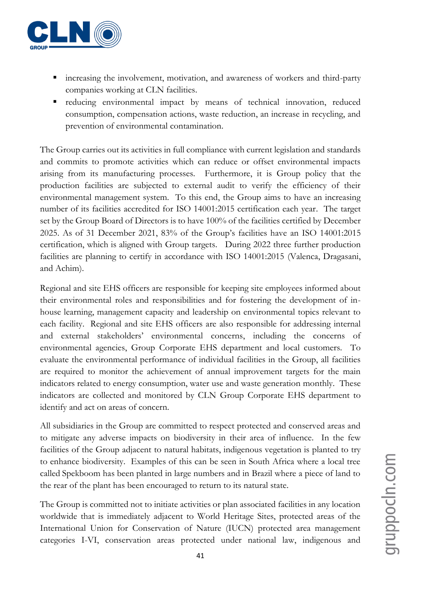

- increasing the involvement, motivation, and awareness of workers and third-party companies working at CLN facilities.
- reducing environmental impact by means of technical innovation, reduced consumption, compensation actions, waste reduction, an increase in recycling, and prevention of environmental contamination.

The Group carries out its activities in full compliance with current legislation and standards and commits to promote activities which can reduce or offset environmental impacts arising from its manufacturing processes. Furthermore, it is Group policy that the production facilities are subjected to external audit to verify the efficiency of their environmental management system. To this end, the Group aims to have an increasing number of its facilities accredited for ISO 14001:2015 certification each year. The target set by the Group Board of Directors is to have 100% of the facilities certified by December 2025. As of 31 December 2021, 83% of the Group's facilities have an ISO 14001:2015 certification, which is aligned with Group targets. During 2022 three further production facilities are planning to certify in accordance with ISO 14001:2015 (Valenca, Dragasani, and Achim).

Regional and site EHS officers are responsible for keeping site employees informed about their environmental roles and responsibilities and for fostering the development of inhouse learning, management capacity and leadership on environmental topics relevant to each facility. Regional and site EHS officers are also responsible for addressing internal and external stakeholders' environmental concerns, including the concerns of environmental agencies, Group Corporate EHS department and local customers. To evaluate the environmental performance of individual facilities in the Group, all facilities are required to monitor the achievement of annual improvement targets for the main indicators related to energy consumption, water use and waste generation monthly. These indicators are collected and monitored by CLN Group Corporate EHS department to identify and act on areas of concern.

All subsidiaries in the Group are committed to respect protected and conserved areas and to mitigate any adverse impacts on biodiversity in their area of influence. In the few facilities of the Group adjacent to natural habitats, indigenous vegetation is planted to try to enhance biodiversity. Examples of this can be seen in South Africa where a local tree called Spekboom has been planted in large numbers and in Brazil where a piece of land to the rear of the plant has been encouraged to return to its natural state.

The Group is committed not to initiate activities or plan associated facilities in any location worldwide that is immediately adjacent to World Heritage Sites, protected areas of the International Union for Conservation of Nature (IUCN) protected area management categories I-VI, conservation areas protected under national law, indigenous and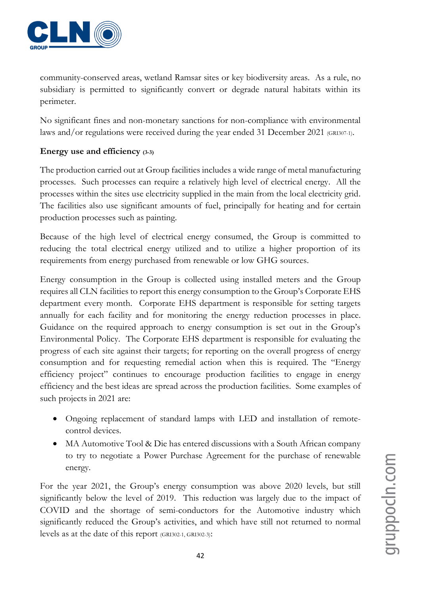

community-conserved areas, wetland Ramsar sites or key biodiversity areas. As a rule, no subsidiary is permitted to significantly convert or degrade natural habitats within its perimeter.

No significant fines and non-monetary sanctions for non-compliance with environmental laws and/or regulations were received during the year ended 31 December 2021 (GRI307-1).

#### **Energy use and efficiency (3-3)**

The production carried out at Group facilities includes a wide range of metal manufacturing processes. Such processes can require a relatively high level of electrical energy. All the processes within the sites use electricity supplied in the main from the local electricity grid. The facilities also use significant amounts of fuel, principally for heating and for certain production processes such as painting.

Because of the high level of electrical energy consumed, the Group is committed to reducing the total electrical energy utilized and to utilize a higher proportion of its requirements from energy purchased from renewable or low GHG sources.

Energy consumption in the Group is collected using installed meters and the Group requires all CLN facilities to report this energy consumption to the Group's Corporate EHS department every month. Corporate EHS department is responsible for setting targets annually for each facility and for monitoring the energy reduction processes in place. Guidance on the required approach to energy consumption is set out in the Group's Environmental Policy. The Corporate EHS department is responsible for evaluating the progress of each site against their targets; for reporting on the overall progress of energy consumption and for requesting remedial action when this is required. The "Energy efficiency project" continues to encourage production facilities to engage in energy efficiency and the best ideas are spread across the production facilities. Some examples of such projects in 2021 are:

- Ongoing replacement of standard lamps with LED and installation of remotecontrol devices.
- MA Automotive Tool & Die has entered discussions with a South African company to try to negotiate a Power Purchase Agreement for the purchase of renewable energy.

For the year 2021, the Group's energy consumption was above 2020 levels, but still significantly below the level of 2019. This reduction was largely due to the impact of COVID and the shortage of semi-conductors for the Automotive industry which significantly reduced the Group's activities, and which have still not returned to normal levels as at the date of this report (GRI302-1, GRI302-3):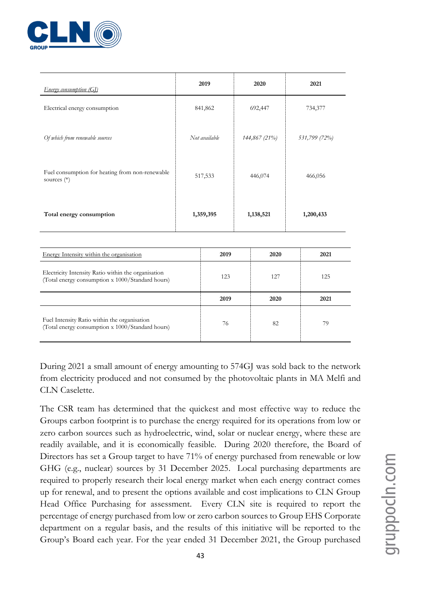

| Energy consumption (GI)                                                                                 |               | 2019    |               | 2020    |           | 2021          |
|---------------------------------------------------------------------------------------------------------|---------------|---------|---------------|---------|-----------|---------------|
| Electrical energy consumption                                                                           |               | 841,862 |               | 692,447 |           | 734,377       |
| Of which from renewable sources                                                                         | Not available |         | 144,867 (21%) |         |           | 531,799 (72%) |
| Fuel consumption for heating from non-renewable<br>sources $(*)$                                        | 517,533       |         | 446,074       |         |           | 466,056       |
| Total energy consumption                                                                                | 1,359,395     |         | 1,138,521     |         | 1,200,433 |               |
|                                                                                                         |               |         |               |         |           |               |
| Energy Intensity within the organisation                                                                |               | 2019    |               | 2020    |           | 2021          |
| Electricity Intensity Ratio within the organisation<br>(Total energy consumption x 1000/Standard hours) |               | 123     |               | 127     |           | 125           |
|                                                                                                         |               | 2019    |               | 2020    |           | 2021          |
| Fuel Intensity Ratio within the organisation<br>(Total energy consumption x 1000/Standard hours)        |               | 76      |               | 82      |           | 79            |

During 2021 a small amount of energy amounting to 574GJ was sold back to the network from electricity produced and not consumed by the photovoltaic plants in MA Melfi and CLN Caselette.

The CSR team has determined that the quickest and most effective way to reduce the Groups carbon footprint is to purchase the energy required for its operations from low or zero carbon sources such as hydroelectric, wind, solar or nuclear energy, where these are readily available, and it is economically feasible. During 2020 therefore, the Board of Directors has set a Group target to have 71% of energy purchased from renewable or low GHG (e.g., nuclear) sources by 31 December 2025. Local purchasing departments are required to properly research their local energy market when each energy contract comes up for renewal, and to present the options available and cost implications to CLN Group Head Office Purchasing for assessment. Every CLN site is required to report the percentage of energy purchased from low or zero carbon sources to Group EHS Corporate department on a regular basis, and the results of this initiative will be reported to the Group's Board each year. For the year ended 31 December 2021, the Group purchased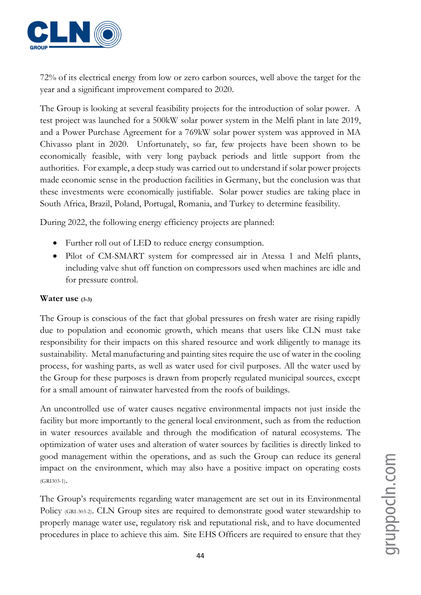

72% of its electrical energy from low or zero carbon sources, well above the target for the year and a significant improvement compared to 2020.

The Group is looking at several feasibility projects for the introduction of solar power. A test project was launched for a 500kW solar power system in the Melfi plant in late 2019, and a Power Purchase Agreement for a 769kW solar power system was approved in MA Chivasso plant in 2020. Unfortunately, so far, few projects have been shown to be economically feasible, with very long payback periods and little support from the authorities. For example, a deep study was carried out to understand if solar power projects made economic sense in the production facilities in Germany, but the conclusion was that these investments were economically justifiable. Solar power studies are taking place in South Africa, Brazil, Poland, Portugal, Romania, and Turkey to determine feasibility.

During 2022, the following energy efficiency projects are planned:

- Further roll out of LED to reduce energy consumption.
- Pilot of CM-SMART system for compressed air in Atessa 1 and Melfi plants, including valve shut off function on compressors used when machines are idle and for pressure control.

#### **Water use (3-3)**

The Group is conscious of the fact that global pressures on fresh water are rising rapidly due to population and economic growth, which means that users like CLN must take responsibility for their impacts on this shared resource and work diligently to manage its sustainability. Metal manufacturing and painting sites require the use of water in the cooling process, for washing parts, as well as water used for civil purposes. All the water used by the Group for these purposes is drawn from properly regulated municipal sources, except for a small amount of rainwater harvested from the roofs of buildings.

An uncontrolled use of water causes negative environmental impacts not just inside the facility but more importantly to the general local environment, such as from the reduction in water resources available and through the modification of natural ecosystems. The optimization of water uses and alteration of water sources by facilities is directly linked to good management within the operations, and as such the Group can reduce its general impact on the environment, which may also have a positive impact on operating costs (GRI303-1).

The Group's requirements regarding water management are set out in its Environmental Policy (GRI-303-2). CLN Group sites are required to demonstrate good water stewardship to properly manage water use, regulatory risk and reputational risk, and to have documented procedures in place to achieve this aim. Site EHS Officers are required to ensure that they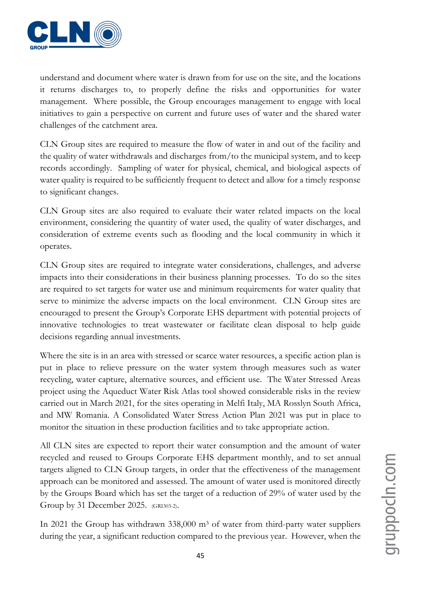

understand and document where water is drawn from for use on the site, and the locations it returns discharges to, to properly define the risks and opportunities for water management. Where possible, the Group encourages management to engage with local initiatives to gain a perspective on current and future uses of water and the shared water challenges of the catchment area.

CLN Group sites are required to measure the flow of water in and out of the facility and the quality of water withdrawals and discharges from/to the municipal system, and to keep records accordingly. Sampling of water for physical, chemical, and biological aspects of water quality is required to be sufficiently frequent to detect and allow for a timely response to significant changes.

CLN Group sites are also required to evaluate their water related impacts on the local environment, considering the quantity of water used, the quality of water discharges, and consideration of extreme events such as flooding and the local community in which it operates.

CLN Group sites are required to integrate water considerations, challenges, and adverse impacts into their considerations in their business planning processes. To do so the sites are required to set targets for water use and minimum requirements for water quality that serve to minimize the adverse impacts on the local environment. CLN Group sites are encouraged to present the Group's Corporate EHS department with potential projects of innovative technologies to treat wastewater or facilitate clean disposal to help guide decisions regarding annual investments.

Where the site is in an area with stressed or scarce water resources, a specific action plan is put in place to relieve pressure on the water system through measures such as water recycling, water capture, alternative sources, and efficient use. The Water Stressed Areas project using the Aqueduct Water Risk Atlas tool showed considerable risks in the review carried out in March 2021, for the sites operating in Melfi Italy, MA Rosslyn South Africa, and MW Romania. A Consolidated Water Stress Action Plan 2021 was put in place to monitor the situation in these production facilities and to take appropriate action.

All CLN sites are expected to report their water consumption and the amount of water recycled and reused to Groups Corporate EHS department monthly, and to set annual targets aligned to CLN Group targets, in order that the effectiveness of the management approach can be monitored and assessed. The amount of water used is monitored directly by the Groups Board which has set the target of a reduction of 29% of water used by the Group by 31 December 2025. (GRI303-2).

In 2021 the Group has withdrawn 338,000 m<sup>3</sup> of water from third-party water suppliers during the year, a significant reduction compared to the previous year. However, when the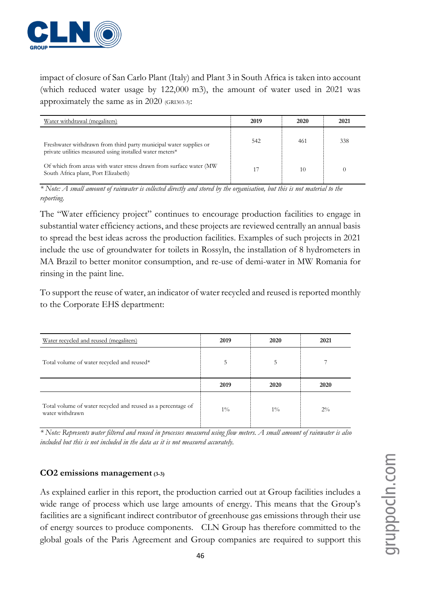

impact of closure of San Carlo Plant (Italy) and Plant 3 in South Africa is taken into account (which reduced water usage by 122,000 m3), the amount of water used in 2021 was approximately the same as in 2020 (GRI303-3):

| Water withdrawal (megaliters)                                                                                                 | 2019 | 2020 | 2021 |
|-------------------------------------------------------------------------------------------------------------------------------|------|------|------|
| Freshwater withdrawn from third party municipal water supplies or<br>private utilities measured using installed water meters* | 542  | 461  | 338  |
| Of which from areas with water stress drawn from surface water (MW<br>South Africa plant, Port Elizabeth)                     |      | 10   |      |

*\* Note: A small amount of rainwater is collected directly and stored by the organisation, but this is not material to the reporting.*

The "Water efficiency project" continues to encourage production facilities to engage in substantial water efficiency actions, and these projects are reviewed centrally an annual basis to spread the best ideas across the production facilities. Examples of such projects in 2021 include the use of groundwater for toilets in Rossyln, the installation of 8 hydrometers in MA Brazil to better monitor consumption, and re-use of demi-water in MW Romania for rinsing in the paint line.

To support the reuse of water, an indicator of water recycled and reused is reported monthly to the Corporate EHS department:

| Water recycled and reused (megaliters)     | 2019 | 2020 | 2021 |
|--------------------------------------------|------|------|------|
| Total volume of water recycled and reused* | 5    | 5    |      |
|                                            |      |      |      |
|                                            | 2019 | 2020 | 2020 |

*\* Note: Represents water filtered and reused in processes measured using flow meters. A small amount of rainwater is also included but this is not included in the data as it is not measured accurately.* 

#### **CO2 emissions management (3-3)**

As explained earlier in this report, the production carried out at Group facilities includes a wide range of process which use large amounts of energy. This means that the Group's facilities are a significant indirect contributor of greenhouse gas emissions through their use of energy sources to produce components. CLN Group has therefore committed to the global goals of the Paris Agreement and Group companies are required to support this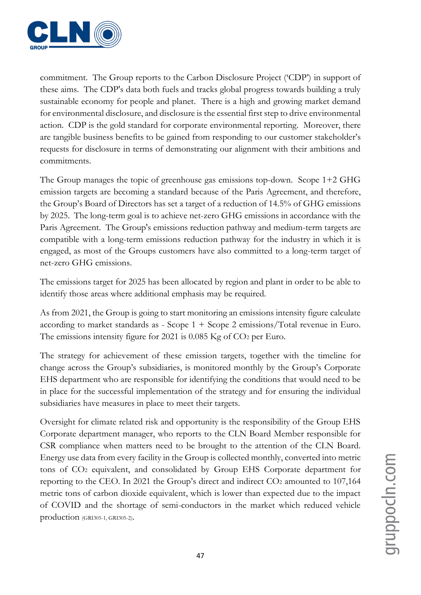

commitment. The Group reports to the Carbon Disclosure Project ('CDP') in support of these aims. The CDP's data both fuels and tracks global progress towards building a truly sustainable economy for people and planet. There is a high and growing market demand for environmental disclosure, and disclosure is the essential first step to drive environmental action. CDP is the gold standard for corporate environmental reporting. Moreover, there are tangible business benefits to be gained from responding to our customer stakeholder's requests for disclosure in terms of demonstrating our alignment with their ambitions and commitments.

The Group manages the topic of greenhouse gas emissions top-down. Scope 1+2 GHG emission targets are becoming a standard because of the Paris Agreement, and therefore, the Group's Board of Directors has set a target of a reduction of 14.5% of GHG emissions by 2025. The long-term goal is to achieve net-zero GHG emissions in accordance with the Paris Agreement. The Group's emissions reduction pathway and medium-term targets are compatible with a long-term emissions reduction pathway for the industry in which it is engaged, as most of the Groups customers have also committed to a long-term target of net-zero GHG emissions.

The emissions target for 2025 has been allocated by region and plant in order to be able to identify those areas where additional emphasis may be required.

As from 2021, the Group is going to start monitoring an emissions intensity figure calculate according to market standards as - Scope 1 + Scope 2 emissions/Total revenue in Euro. The emissions intensity figure for 2021 is 0.085 Kg of CO2 per Euro.

The strategy for achievement of these emission targets, together with the timeline for change across the Group's subsidiaries, is monitored monthly by the Group's Corporate EHS department who are responsible for identifying the conditions that would need to be in place for the successful implementation of the strategy and for ensuring the individual subsidiaries have measures in place to meet their targets.

Oversight for climate related risk and opportunity is the responsibility of the Group EHS Corporate department manager, who reports to the CLN Board Member responsible for CSR compliance when matters need to be brought to the attention of the CLN Board. Energy use data from every facility in the Group is collected monthly, converted into metric tons of CO<sup>2</sup> equivalent, and consolidated by Group EHS Corporate department for reporting to the CEO. In 2021 the Group's direct and indirect CO<sup>2</sup> amounted to 107,164 metric tons of carbon dioxide equivalent, which is lower than expected due to the impact of COVID and the shortage of semi-conductors in the market which reduced vehicle production (GRI305-1, GRI305-2).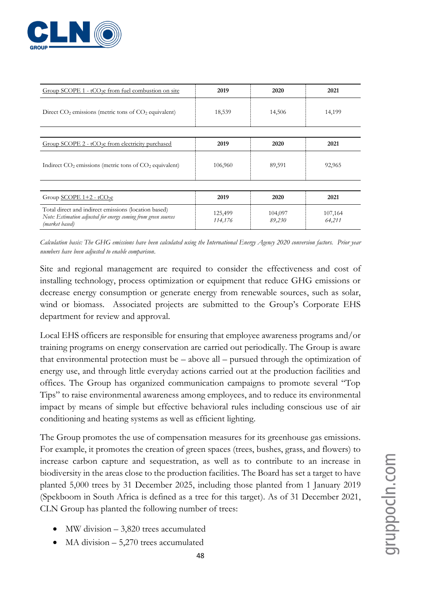

| Group SCOPE $1 - tCO2e$ from fuel combustion on site                                                                                     | 2019               | 2020              | 2021              |
|------------------------------------------------------------------------------------------------------------------------------------------|--------------------|-------------------|-------------------|
| Direct $CO2$ emissions (metric tons of $CO2$ equivalent)                                                                                 | 18,539             | 14,506            | 14,199            |
|                                                                                                                                          |                    |                   |                   |
| Group SCOPE $2 - tCO2e$ from electricity purchased                                                                                       | 2019               | 2020              | 2021              |
| Indirect $CO2$ emissions (metric tons of $CO2$ equivalent)                                                                               | 106,960            | 89,591            | 92,965            |
|                                                                                                                                          |                    |                   |                   |
| Group $SCOPE 1+2 - tCO2e$                                                                                                                | 2019               | 2020              | 2021              |
| Total direct and indirect emissions (location based)<br>Note: Estimation adjusted for energy coming from green sources<br>(market based) | 125,499<br>114,176 | 104,097<br>89,230 | 107,164<br>64,211 |

*Calculation basis: The GHG emissions have been calculated using the International Energy Agency 2020 conversion factors. Prior year numbers have been adjusted to enable comparison.*

Site and regional management are required to consider the effectiveness and cost of installing technology, process optimization or equipment that reduce GHG emissions or decrease energy consumption or generate energy from renewable sources, such as solar, wind or biomass. Associated projects are submitted to the Group's Corporate EHS department for review and approval.

Local EHS officers are responsible for ensuring that employee awareness programs and/or training programs on energy conservation are carried out periodically. The Group is aware that environmental protection must be – above all – pursued through the optimization of energy use, and through little everyday actions carried out at the production facilities and offices. The Group has organized communication campaigns to promote several "Top Tips" to raise environmental awareness among employees, and to reduce its environmental impact by means of simple but effective behavioral rules including conscious use of air conditioning and heating systems as well as efficient lighting.

The Group promotes the use of compensation measures for its greenhouse gas emissions. For example, it promotes the creation of green spaces (trees, bushes, grass, and flowers) to increase carbon capture and sequestration, as well as to contribute to an increase in biodiversity in the areas close to the production facilities. The Board has set a target to have planted 5,000 trees by 31 December 2025, including those planted from 1 January 2019 (Spekboom in South Africa is defined as a tree for this target). As of 31 December 2021, CLN Group has planted the following number of trees:

- $\text{MW}$  division  $-3,820$  trees accumulated
- $MA$  division  $-5,270$  trees accumulated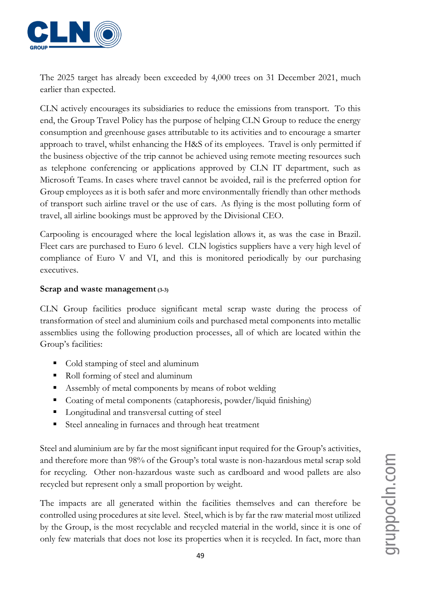

The 2025 target has already been exceeded by 4,000 trees on 31 December 2021, much earlier than expected.

CLN actively encourages its subsidiaries to reduce the emissions from transport. To this end, the Group Travel Policy has the purpose of helping CLN Group to reduce the energy consumption and greenhouse gases attributable to its activities and to encourage a smarter approach to travel, whilst enhancing the H&S of its employees. Travel is only permitted if the business objective of the trip cannot be achieved using remote meeting resources such as telephone conferencing or applications approved by CLN IT department, such as Microsoft Teams. In cases where travel cannot be avoided, rail is the preferred option for Group employees as it is both safer and more environmentally friendly than other methods of transport such airline travel or the use of cars. As flying is the most polluting form of travel, all airline bookings must be approved by the Divisional CEO.

Carpooling is encouraged where the local legislation allows it, as was the case in Brazil. Fleet cars are purchased to Euro 6 level. CLN logistics suppliers have a very high level of compliance of Euro V and VI, and this is monitored periodically by our purchasing executives.

#### **Scrap and waste management (3-3)**

CLN Group facilities produce significant metal scrap waste during the process of transformation of steel and aluminium coils and purchased metal components into metallic assemblies using the following production processes, all of which are located within the Group's facilities:

- Cold stamping of steel and aluminum
- Roll forming of steel and aluminum
- Assembly of metal components by means of robot welding
- Coating of metal components (cataphoresis, powder/liquid finishing)
- **EXECUTE:** Longitudinal and transversal cutting of steel
- Steel annealing in furnaces and through heat treatment

Steel and aluminium are by far the most significant input required for the Group's activities, and therefore more than 98% of the Group's total waste is non-hazardous metal scrap sold for recycling. Other non-hazardous waste such as cardboard and wood pallets are also recycled but represent only a small proportion by weight.

The impacts are all generated within the facilities themselves and can therefore be controlled using procedures at site level. Steel, which is by far the raw material most utilized by the Group, is the most recyclable and recycled material in the world, since it is one of only few materials that does not lose its properties when it is recycled. In fact, more than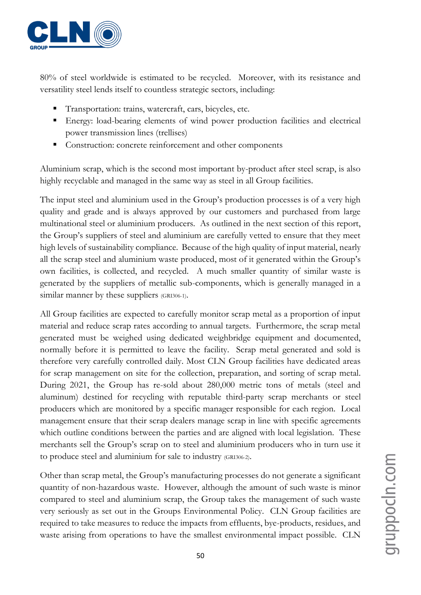

80% of steel worldwide is estimated to be recycled. Moreover, with its resistance and versatility steel lends itself to countless strategic sectors, including:

- Transportation: trains, watercraft, cars, bicycles, etc.
- Energy: load-bearing elements of wind power production facilities and electrical power transmission lines (trellises)
- Construction: concrete reinforcement and other components

Aluminium scrap, which is the second most important by-product after steel scrap, is also highly recyclable and managed in the same way as steel in all Group facilities.

The input steel and aluminium used in the Group's production processes is of a very high quality and grade and is always approved by our customers and purchased from large multinational steel or aluminium producers. As outlined in the next section of this report, the Group's suppliers of steel and aluminium are carefully vetted to ensure that they meet high levels of sustainability compliance. Because of the high quality of input material, nearly all the scrap steel and aluminium waste produced, most of it generated within the Group's own facilities, is collected, and recycled. A much smaller quantity of similar waste is generated by the suppliers of metallic sub-components, which is generally managed in a similar manner by these suppliers (GRI306-1).

All Group facilities are expected to carefully monitor scrap metal as a proportion of input material and reduce scrap rates according to annual targets. Furthermore, the scrap metal generated must be weighed using dedicated weighbridge equipment and documented, normally before it is permitted to leave the facility. Scrap metal generated and sold is therefore very carefully controlled daily. Most CLN Group facilities have dedicated areas for scrap management on site for the collection, preparation, and sorting of scrap metal. During 2021, the Group has re-sold about 280,000 metric tons of metals (steel and aluminum) destined for recycling with reputable third-party scrap merchants or steel producers which are monitored by a specific manager responsible for each region. Local management ensure that their scrap dealers manage scrap in line with specific agreements which outline conditions between the parties and are aligned with local legislation. These merchants sell the Group's scrap on to steel and aluminium producers who in turn use it to produce steel and aluminium for sale to industry (GRI306-2).

Other than scrap metal, the Group's manufacturing processes do not generate a significant quantity of non-hazardous waste. However, although the amount of such waste is minor compared to steel and aluminium scrap, the Group takes the management of such waste very seriously as set out in the Groups Environmental Policy. CLN Group facilities are required to take measures to reduce the impacts from effluents, bye-products, residues, and waste arising from operations to have the smallest environmental impact possible. CLN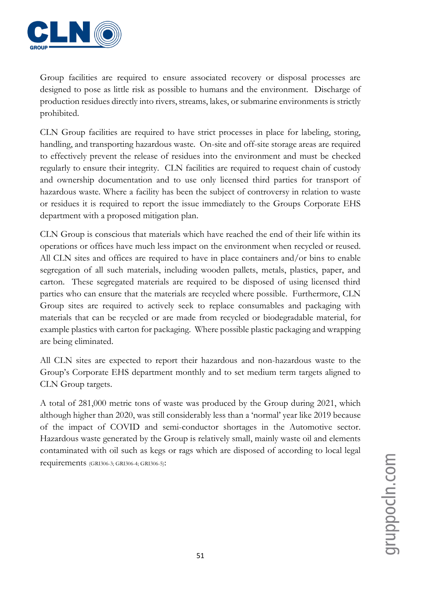

Group facilities are required to ensure associated recovery or disposal processes are designed to pose as little risk as possible to humans and the environment. Discharge of production residues directly into rivers, streams, lakes, or submarine environments is strictly prohibited.

CLN Group facilities are required to have strict processes in place for labeling, storing, handling, and transporting hazardous waste. On-site and off-site storage areas are required to effectively prevent the release of residues into the environment and must be checked regularly to ensure their integrity. CLN facilities are required to request chain of custody and ownership documentation and to use only licensed third parties for transport of hazardous waste. Where a facility has been the subject of controversy in relation to waste or residues it is required to report the issue immediately to the Groups Corporate EHS department with a proposed mitigation plan.

CLN Group is conscious that materials which have reached the end of their life within its operations or offices have much less impact on the environment when recycled or reused. All CLN sites and offices are required to have in place containers and/or bins to enable segregation of all such materials, including wooden pallets, metals, plastics, paper, and carton. These segregated materials are required to be disposed of using licensed third parties who can ensure that the materials are recycled where possible. Furthermore, CLN Group sites are required to actively seek to replace consumables and packaging with materials that can be recycled or are made from recycled or biodegradable material, for example plastics with carton for packaging. Where possible plastic packaging and wrapping are being eliminated.

All CLN sites are expected to report their hazardous and non-hazardous waste to the Group's Corporate EHS department monthly and to set medium term targets aligned to CLN Group targets.

A total of 281,000 metric tons of waste was produced by the Group during 2021, which although higher than 2020, was still considerably less than a 'normal' year like 2019 because of the impact of COVID and semi-conductor shortages in the Automotive sector. Hazardous waste generated by the Group is relatively small, mainly waste oil and elements contaminated with oil such as kegs or rags which are disposed of according to local legal requirements (GRI306-3; GRI306-4; GRI306-5):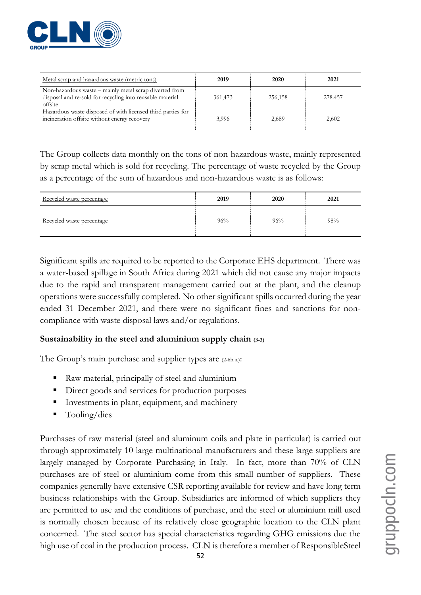

| Metal scrap and hazardous waste (metric tons)                                                                                  | 2019    | 2020    | 2021    |
|--------------------------------------------------------------------------------------------------------------------------------|---------|---------|---------|
| Non-hazardous waste – mainly metal scrap diverted from<br>disposal and re-sold for recycling into reusable material<br>offsite | 361,473 | 256,158 | 278.457 |
| Hazardous waste disposed of with licensed third parties for<br>incineration offsite without energy recovery                    | 3,996   | 2,689   | 2,602   |

The Group collects data monthly on the tons of non-hazardous waste, mainly represented by scrap metal which is sold for recycling. The percentage of waste recycled by the Group as a percentage of the sum of hazardous and non-hazardous waste is as follows:

| Recycled waste percentage | 2019 | 2020 | 2021 |
|---------------------------|------|------|------|
| Recycled waste percentage | 96%  | 96%  | 98%  |

Significant spills are required to be reported to the Corporate EHS department. There was a water-based spillage in South Africa during 2021 which did not cause any major impacts due to the rapid and transparent management carried out at the plant, and the cleanup operations were successfully completed. No other significant spills occurred during the year ended 31 December 2021, and there were no significant fines and sanctions for noncompliance with waste disposal laws and/or regulations.

#### **Sustainability in the steel and aluminium supply chain (3-3)**

The Group's main purchase and supplier types are (2-6b.ii.):

- Raw material, principally of steel and aluminium
- Direct goods and services for production purposes
- Investments in plant, equipment, and machinery
- $\blacksquare$  Tooling/dies

Purchases of raw material (steel and aluminum coils and plate in particular) is carried out through approximately 10 large multinational manufacturers and these large suppliers are largely managed by Corporate Purchasing in Italy. In fact, more than 70% of CLN purchases are of steel or aluminium come from this small number of suppliers. These companies generally have extensive CSR reporting available for review and have long term business relationships with the Group. Subsidiaries are informed of which suppliers they are permitted to use and the conditions of purchase, and the steel or aluminium mill used is normally chosen because of its relatively close geographic location to the CLN plant concerned. The steel sector has special characteristics regarding GHG emissions due the high use of coal in the production process. CLN is therefore a member of ResponsibleSteel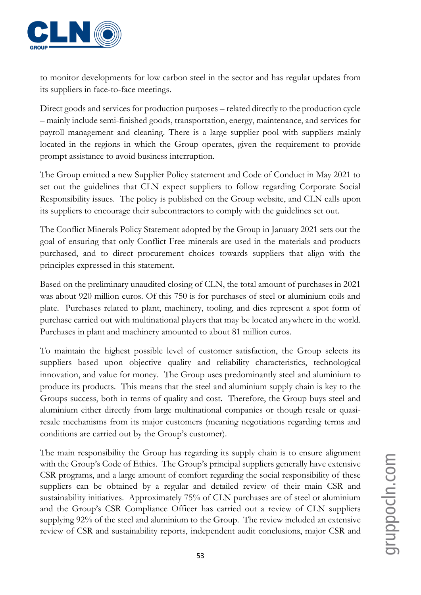

to monitor developments for low carbon steel in the sector and has regular updates from its suppliers in face-to-face meetings.

Direct goods and services for production purposes – related directly to the production cycle – mainly include semi-finished goods, transportation, energy, maintenance, and services for payroll management and cleaning. There is a large supplier pool with suppliers mainly located in the regions in which the Group operates, given the requirement to provide prompt assistance to avoid business interruption.

The Group emitted a new Supplier Policy statement and Code of Conduct in May 2021 to set out the guidelines that CLN expect suppliers to follow regarding Corporate Social Responsibility issues. The policy is published on the Group website, and CLN calls upon its suppliers to encourage their subcontractors to comply with the guidelines set out.

The Conflict Minerals Policy Statement adopted by the Group in January 2021 sets out the goal of ensuring that only Conflict Free minerals are used in the materials and products purchased, and to direct procurement choices towards suppliers that align with the principles expressed in this statement.

Based on the preliminary unaudited closing of CLN, the total amount of purchases in 2021 was about 920 million euros. Of this 750 is for purchases of steel or aluminium coils and plate. Purchases related to plant, machinery, tooling, and dies represent a spot form of purchase carried out with multinational players that may be located anywhere in the world. Purchases in plant and machinery amounted to about 81 million euros.

To maintain the highest possible level of customer satisfaction, the Group selects its suppliers based upon objective quality and reliability characteristics, technological innovation, and value for money. The Group uses predominantly steel and aluminium to produce its products. This means that the steel and aluminium supply chain is key to the Groups success, both in terms of quality and cost. Therefore, the Group buys steel and aluminium either directly from large multinational companies or though resale or quasiresale mechanisms from its major customers (meaning negotiations regarding terms and conditions are carried out by the Group's customer).

The main responsibility the Group has regarding its supply chain is to ensure alignment with the Group's Code of Ethics. The Group's principal suppliers generally have extensive CSR programs, and a large amount of comfort regarding the social responsibility of these suppliers can be obtained by a regular and detailed review of their main CSR and sustainability initiatives. Approximately 75% of CLN purchases are of steel or aluminium and the Group's CSR Compliance Officer has carried out a review of CLN suppliers supplying 92% of the steel and aluminium to the Group. The review included an extensive review of CSR and sustainability reports, independent audit conclusions, major CSR and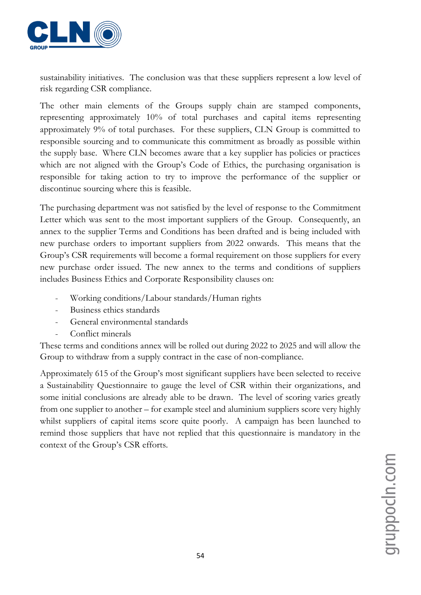

sustainability initiatives. The conclusion was that these suppliers represent a low level of risk regarding CSR compliance.

The other main elements of the Groups supply chain are stamped components, representing approximately 10% of total purchases and capital items representing approximately 9% of total purchases. For these suppliers, CLN Group is committed to responsible sourcing and to communicate this commitment as broadly as possible within the supply base. Where CLN becomes aware that a key supplier has policies or practices which are not aligned with the Group's Code of Ethics, the purchasing organisation is responsible for taking action to try to improve the performance of the supplier or discontinue sourcing where this is feasible.

The purchasing department was not satisfied by the level of response to the Commitment Letter which was sent to the most important suppliers of the Group. Consequently, an annex to the supplier Terms and Conditions has been drafted and is being included with new purchase orders to important suppliers from 2022 onwards. This means that the Group's CSR requirements will become a formal requirement on those suppliers for every new purchase order issued. The new annex to the terms and conditions of suppliers includes Business Ethics and Corporate Responsibility clauses on:

- Working conditions/Labour standards/Human rights
- Business ethics standards
- General environmental standards
- Conflict minerals

These terms and conditions annex will be rolled out during 2022 to 2025 and will allow the Group to withdraw from a supply contract in the case of non-compliance.

Approximately 615 of the Group's most significant suppliers have been selected to receive a Sustainability Questionnaire to gauge the level of CSR within their organizations, and some initial conclusions are already able to be drawn. The level of scoring varies greatly from one supplier to another – for example steel and aluminium suppliers score very highly whilst suppliers of capital items score quite poorly. A campaign has been launched to remind those suppliers that have not replied that this questionnaire is mandatory in the context of the Group's CSR efforts.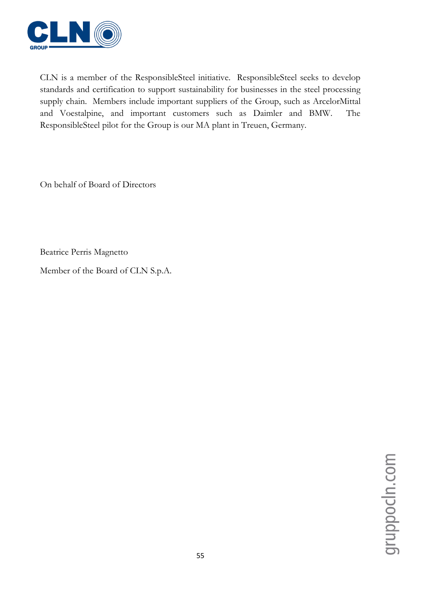![](_page_54_Picture_0.jpeg)

CLN is a member of the ResponsibleSteel initiative. ResponsibleSteel seeks to develop standards and certification to support sustainability for businesses in the steel processing supply chain. Members include important suppliers of the Group, such as ArcelorMittal and Voestalpine, and important customers such as Daimler and BMW. The ResponsibleSteel pilot for the Group is our MA plant in Treuen, Germany.

On behalf of Board of Directors

Beatrice Perris Magnetto

Member of the Board of CLN S.p.A.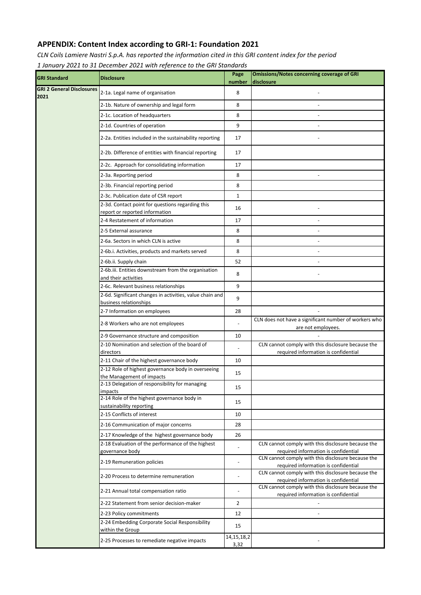#### **APPENDIX: Content Index according to GRI-1: Foundation 2021**

*CLN Coils Lamiere Nastri S.p.A. has reported the information cited in this GRI content index for the period* 

*1 January 2021 to 31 December 2021 with reference to the GRI Standards*

| <b>GRI Standard</b>                      | <b>Disclosure</b>                                                                  | Page<br>number        | <b>Omissions/Notes concerning coverage of GRI</b><br>disclosure                            |
|------------------------------------------|------------------------------------------------------------------------------------|-----------------------|--------------------------------------------------------------------------------------------|
| <b>GRI 2 General Disclosures</b><br>2021 | 2-1a. Legal name of organisation                                                   | 8                     |                                                                                            |
|                                          | 2-1b. Nature of ownership and legal form                                           | 8                     |                                                                                            |
|                                          | 2-1c. Location of headquarters                                                     | 8                     |                                                                                            |
|                                          | 2-1d. Countries of operation                                                       | 9                     |                                                                                            |
|                                          | 2-2a. Entities included in the sustainability reporting                            | 17                    |                                                                                            |
|                                          | 2-2b. Difference of entities with financial reporting                              | 17                    |                                                                                            |
|                                          | 2-2c. Approach for consolidating information                                       | 17                    |                                                                                            |
|                                          | 2-3a. Reporting period                                                             | 8                     |                                                                                            |
|                                          | 2-3b. Financial reporting period                                                   | 8                     |                                                                                            |
|                                          | 2-3c. Publication date of CSR report                                               | $\mathbf 1$           |                                                                                            |
|                                          | 2-3d. Contact point for questions regarding this<br>report or reported information | 16                    |                                                                                            |
|                                          | 2-4 Restatement of information                                                     | 17                    |                                                                                            |
|                                          | 2-5 External assurance                                                             | 8                     |                                                                                            |
|                                          | 2-6a. Sectors in which CLN is active                                               | 8                     |                                                                                            |
|                                          | 2-6b.i. Activities, products and markets served                                    | 8                     |                                                                                            |
|                                          | 2-6b.ii. Supply chain                                                              | 52                    |                                                                                            |
|                                          | 2-6b.iii. Entities downstream from the organisation<br>and their activities        | 8                     |                                                                                            |
|                                          | 2-6c. Relevant business relationships                                              | 9                     |                                                                                            |
|                                          | 2-6d. Significant changes in activities, value chain and<br>business relationships | 9                     |                                                                                            |
|                                          | 2-7 Information on employees                                                       | 28                    |                                                                                            |
|                                          | 2-8 Workers who are not employees                                                  |                       | CLN does not have a significant number of workers who<br>are not employees.                |
|                                          | 2-9 Governance structure and composition                                           | 10                    |                                                                                            |
|                                          | 2-10 Nomination and selection of the board of<br>directors                         | $\blacksquare$        | CLN cannot comply with this disclosure because the<br>required information is confidential |
|                                          | 2-11 Chair of the highest governance body                                          | 10                    |                                                                                            |
|                                          | 2-12 Role of highest governance body in overseeing                                 | 15                    |                                                                                            |
|                                          | the Management of impacts<br>2-13 Delegation of responsibility for managing        |                       |                                                                                            |
|                                          | impacts                                                                            | 15                    |                                                                                            |
|                                          | 2-14 Role of the highest governance body in<br>sustainability reporting            | 15                    |                                                                                            |
|                                          | 2-15 Conflicts of interest                                                         | 10                    |                                                                                            |
|                                          | 2-16 Communication of major concerns                                               | 28                    |                                                                                            |
|                                          | 2-17 Knowledge of the highest governance body                                      | 26                    |                                                                                            |
|                                          | 2-18 Evaluation of the performance of the highest                                  |                       | CLN cannot comply with this disclosure because the                                         |
|                                          | governance body                                                                    |                       | required information is confidential<br>CLN cannot comply with this disclosure because the |
|                                          | 2-19 Remuneration policies                                                         | $\overline{a}$        | required information is confidential                                                       |
|                                          | 2-20 Process to determine remuneration                                             | $\overline{a}$        | CLN cannot comply with this disclosure because the<br>required information is confidential |
|                                          | 2-21 Annual total compensation ratio                                               |                       | CLN cannot comply with this disclosure because the<br>required information is confidential |
|                                          | 2-22 Statement from senior decision-maker                                          | $\overline{2}$        |                                                                                            |
|                                          | 2-23 Policy commitments                                                            | 12                    | $\sim$                                                                                     |
|                                          | 2-24 Embedding Corporate Social Responsibility<br>within the Group                 | 15                    |                                                                                            |
|                                          | 2-25 Processes to remediate negative impacts                                       | 14, 15, 18, 2<br>3,32 |                                                                                            |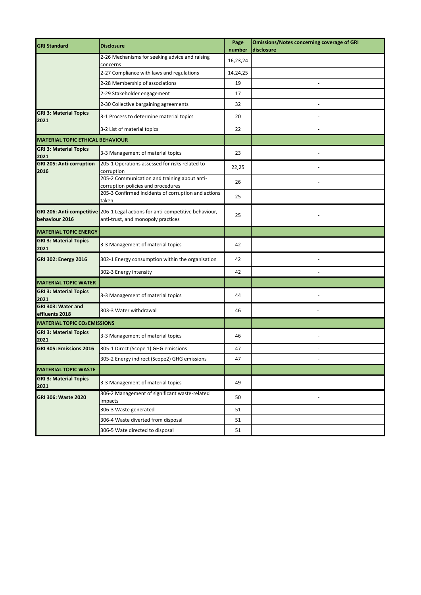| <b>GRI Standard</b>                     | <b>Disclosure</b>                                                                                                   | Page<br>number | <b>Omissions/Notes concerning coverage of GRI</b><br>disclosure |
|-----------------------------------------|---------------------------------------------------------------------------------------------------------------------|----------------|-----------------------------------------------------------------|
|                                         | 2-26 Mechanisms for seeking advice and raising<br>concerns                                                          | 16,23,24       |                                                                 |
|                                         | 2-27 Compliance with laws and regulations                                                                           | 14,24,25       |                                                                 |
|                                         | 2-28 Membership of associations                                                                                     | 19             |                                                                 |
|                                         | 2-29 Stakeholder engagement                                                                                         | 17             |                                                                 |
|                                         | 2-30 Collective bargaining agreements                                                                               | 32             |                                                                 |
| <b>GRI 3: Material Topics</b><br>2021   | 3-1 Process to determine material topics                                                                            | 20             |                                                                 |
|                                         | 3-2 List of material topics                                                                                         | 22             |                                                                 |
| <b>MATERIAL TOPIC ETHICAL BEHAVIOUR</b> |                                                                                                                     |                |                                                                 |
| <b>GRI 3: Material Topics</b><br>2021   | 3-3 Management of material topics                                                                                   | 23             |                                                                 |
| <b>GRI 205: Anti-corruption</b><br>2016 | 205-1 Operations assessed for risks related to<br>corruption                                                        | 22,25          |                                                                 |
|                                         | 205-2 Communication and training about anti-<br>corruption policies and procedures                                  | 26             |                                                                 |
|                                         | 205-3 Confirmed incidents of corruption and actions<br>taken                                                        | 25             |                                                                 |
| behaviour 2016                          | GRI 206: Anti-competitive 206-1 Legal actions for anti-competitive behaviour,<br>anti-trust, and monopoly practices | 25             |                                                                 |
| <b>MATERIAL TOPIC ENERGY</b>            |                                                                                                                     |                |                                                                 |
| <b>GRI 3: Material Topics</b><br>2021   | 3-3 Management of material topics                                                                                   | 42             |                                                                 |
| <b>GRI 302: Energy 2016</b>             | 302-1 Energy consumption within the organisation                                                                    | 42             |                                                                 |
|                                         | 302-3 Energy intensity                                                                                              | 42             |                                                                 |
| <b>MATERIAL TOPIC WATER</b>             |                                                                                                                     |                |                                                                 |
| <b>GRI 3: Material Topics</b><br>2021   | 3-3 Management of material topics                                                                                   | 44             |                                                                 |
| GRI 303: Water and<br>effluents 2018    | 303-3 Water withdrawal                                                                                              | 46             |                                                                 |
| <b>MATERIAL TOPIC CO2 EMISSIONS</b>     |                                                                                                                     |                |                                                                 |
| <b>GRI 3: Material Topics</b><br>2021   | 3-3 Management of material topics                                                                                   | 46             |                                                                 |
| GRI 305: Emissions 2016                 | 305-1 Direct (Scope 1) GHG emissions                                                                                | 47             |                                                                 |
|                                         | 305-2 Energy indirect (Scope2) GHG emissions                                                                        | 47             |                                                                 |
| <b>MATERIAL TOPIC WASTE</b>             |                                                                                                                     |                |                                                                 |
| <b>GRI 3: Material Topics</b><br>2021   | 3-3 Management of material topics                                                                                   | 49             |                                                                 |
| GRI 306: Waste 2020                     | 306-2 Management of significant waste-related<br>impacts                                                            | 50             |                                                                 |
|                                         | 306-3 Waste generated                                                                                               | 51             |                                                                 |
|                                         | 306-4 Waste diverted from disposal                                                                                  | 51             |                                                                 |
|                                         | 306-5 Wate directed to disposal                                                                                     | 51             |                                                                 |